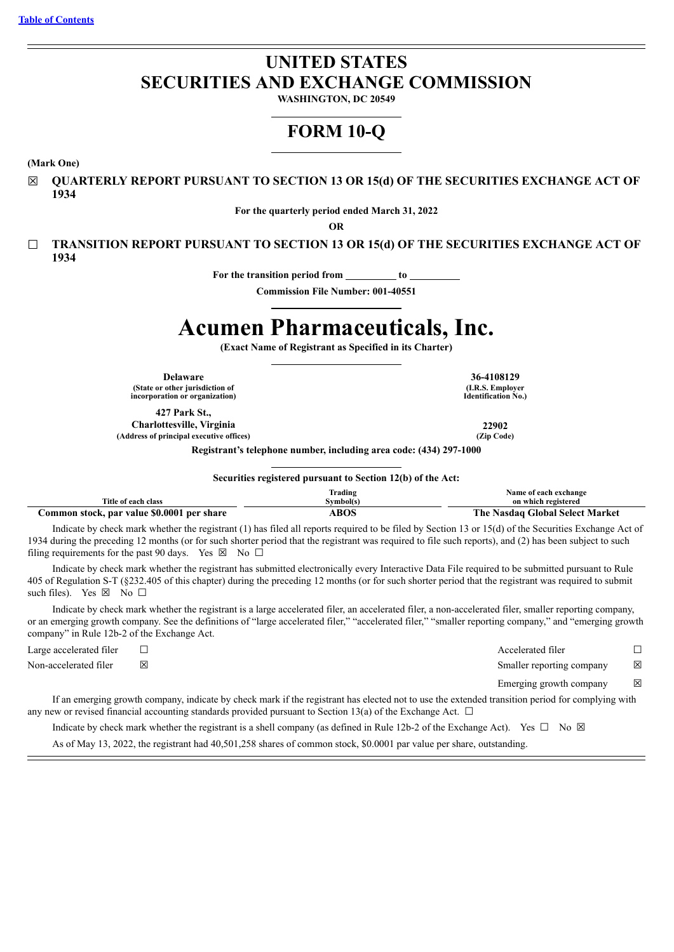# **UNITED STATES SECURITIES AND EXCHANGE COMMISSION**

**WASHINGTON, DC 20549**

## **FORM 10-Q**

**(Mark One)**

☒ **QUARTERLY REPORT PURSUANT TO SECTION 13 OR 15(d) OF THE SECURITIES EXCHANGE ACT OF 1934**

**For the quarterly period ended March 31, 2022**

**OR**

☐ **TRANSITION REPORT PURSUANT TO SECTION 13 OR 15(d) OF THE SECURITIES EXCHANGE ACT OF 1934**

**For the transition period from to**

**Commission File Number: 001-40551**

# **Acumen Pharmaceuticals, Inc.**

**(Exact Name of Registrant as Specified in its Charter)**

**Delaware 36-4108129 (State or other jurisdiction of**

**incorporation or organization)**

**427 Park St., Charlottesville, Virginia 22902 (Address of principal executive offices) (Zip Code)**

**(I.R.S. Employer Identification No.)**

**Registrant's telephone number, including area code: (434) 297-1000**

**Securities registered pursuant to Section 12(b) of the Act:**

|                                            | frading     | Name of each exchange               |
|--------------------------------------------|-------------|-------------------------------------|
| itle of each class.                        | 'vmbol(s)   | on which registered                 |
| Common stock, par value \$0.0001 per share | <b>\BOS</b> | . Nasdag Global Select Market<br>he |

Indicate by check mark whether the registrant (1) has filed all reports required to be filed by Section 13 or 15(d) of the Securities Exchange Act of 1934 during the preceding 12 months (or for such shorter period that the registrant was required to file such reports), and (2) has been subject to such filing requirements for the past 90 days. Yes  $\boxtimes$  No  $\Box$ 

Indicate by check mark whether the registrant has submitted electronically every Interactive Data File required to be submitted pursuant to Rule 405 of Regulation S-T (§232.405 of this chapter) during the preceding 12 months (or for such shorter period that the registrant was required to submit such files). Yes  $\boxtimes$  No  $\Box$ 

Indicate by check mark whether the registrant is a large accelerated filer, an accelerated filer, a non-accelerated filer, smaller reporting company, or an emerging growth company. See the definitions of "large accelerated filer," "accelerated filer," "smaller reporting company," and "emerging growth company" in Rule 12b-2 of the Exchange Act.

Large accelerated filer ☐ Accelerated filer ☐ Non-accelerated filer ⊠ <br>Non-accelerated filer ⊠  $\boxtimes$ 

Emerging growth company  $\boxtimes$ 

If an emerging growth company, indicate by check mark if the registrant has elected not to use the extended transition period for complying with any new or revised financial accounting standards provided pursuant to Section 13(a) of the Exchange Act.  $\Box$ 

Indicate by check mark whether the registrant is a shell company (as defined in Rule 12b-2 of the Exchange Act). Yes  $\Box$  No  $\boxtimes$ 

As of May 13, 2022, the registrant had 40,501,258 shares of common stock, \$0.0001 par value per share, outstanding.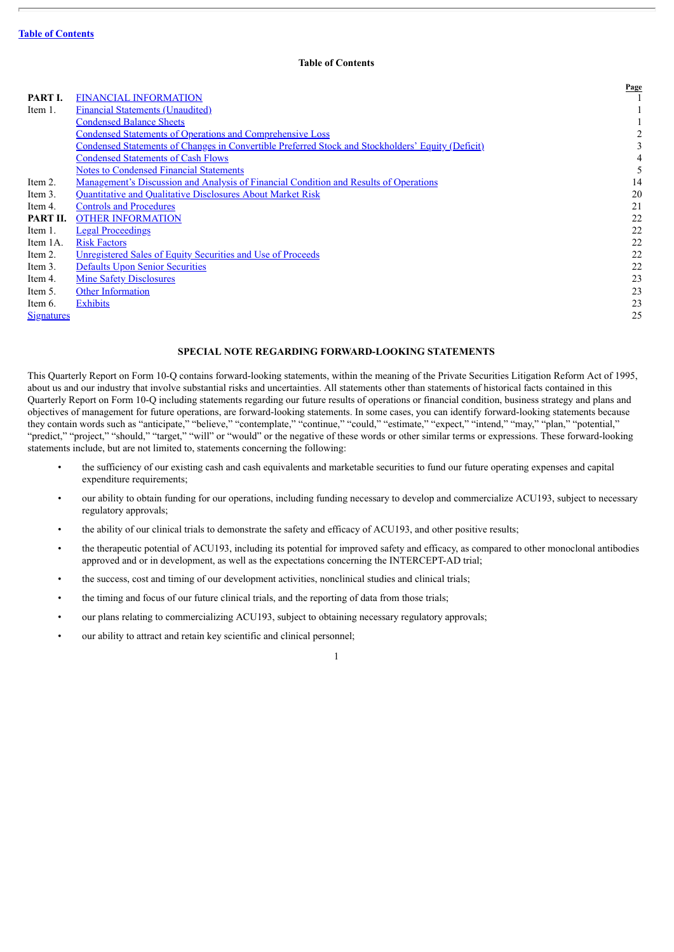<span id="page-1-0"></span>

|                   |                                                                                                   | Page |
|-------------------|---------------------------------------------------------------------------------------------------|------|
| PART I.           | <b>FINANCIAL INFORMATION</b>                                                                      |      |
| Item 1.           | <b>Financial Statements (Unaudited)</b>                                                           |      |
|                   | <b>Condensed Balance Sheets</b>                                                                   |      |
|                   | <b>Condensed Statements of Operations and Comprehensive Loss</b>                                  |      |
|                   | Condensed Statements of Changes in Convertible Preferred Stock and Stockholders' Equity (Deficit) |      |
|                   | <b>Condensed Statements of Cash Flows</b>                                                         |      |
|                   | <b>Notes to Condensed Financial Statements</b>                                                    |      |
| Item 2.           | Management's Discussion and Analysis of Financial Condition and Results of Operations             | 14   |
| Item 3.           | Quantitative and Qualitative Disclosures About Market Risk                                        | 20   |
| Item 4.           | <b>Controls and Procedures</b>                                                                    | 21   |
| PART II.          | <b>OTHER INFORMATION</b>                                                                          | 22   |
| Item 1.           | <b>Legal Proceedings</b>                                                                          | 22   |
| Item 1A.          | <b>Risk Factors</b>                                                                               | 22   |
| Item 2.           | Unregistered Sales of Equity Securities and Use of Proceeds                                       | 22   |
| Item 3.           | <b>Defaults Upon Senior Securities</b>                                                            | 22   |
| Item 4.           | <b>Mine Safety Disclosures</b>                                                                    | 23   |
| Item 5.           | <b>Other Information</b>                                                                          | 23   |
| Item 6.           | <b>Exhibits</b>                                                                                   | 23   |
| <b>Signatures</b> |                                                                                                   | 25   |
|                   |                                                                                                   |      |

## **SPECIAL NOTE REGARDING FORWARD-LOOKING STATEMENTS**

This Quarterly Report on Form 10-Q contains forward-looking statements, within the meaning of the Private Securities Litigation Reform Act of 1995, about us and our industry that involve substantial risks and uncertainties. All statements other than statements of historical facts contained in this Quarterly Report on Form 10-Q including statements regarding our future results of operations or financial condition, business strategy and plans and objectives of management for future operations, are forward-looking statements. In some cases, you can identify forward-looking statements because they contain words such as "anticipate," "believe," "contemplate," "continue," "could," "estimate," "expect," "intend," "may," "plan," "potential," "predict," "project," "should," "target," "will" or "would" or the negative of these words or other similar terms or expressions. These forward-looking statements include, but are not limited to, statements concerning the following:

- the sufficiency of our existing cash and cash equivalents and marketable securities to fund our future operating expenses and capital expenditure requirements;
- our ability to obtain funding for our operations, including funding necessary to develop and commercialize ACU193, subject to necessary regulatory approvals;
- the ability of our clinical trials to demonstrate the safety and efficacy of ACU193, and other positive results;
- the therapeutic potential of ACU193, including its potential for improved safety and efficacy, as compared to other monoclonal antibodies approved and or in development, as well as the expectations concerning the INTERCEPT-AD trial;

- the success, cost and timing of our development activities, nonclinical studies and clinical trials;
- the timing and focus of our future clinical trials, and the reporting of data from those trials;
- our plans relating to commercializing ACU193, subject to obtaining necessary regulatory approvals;
- our ability to attract and retain key scientific and clinical personnel;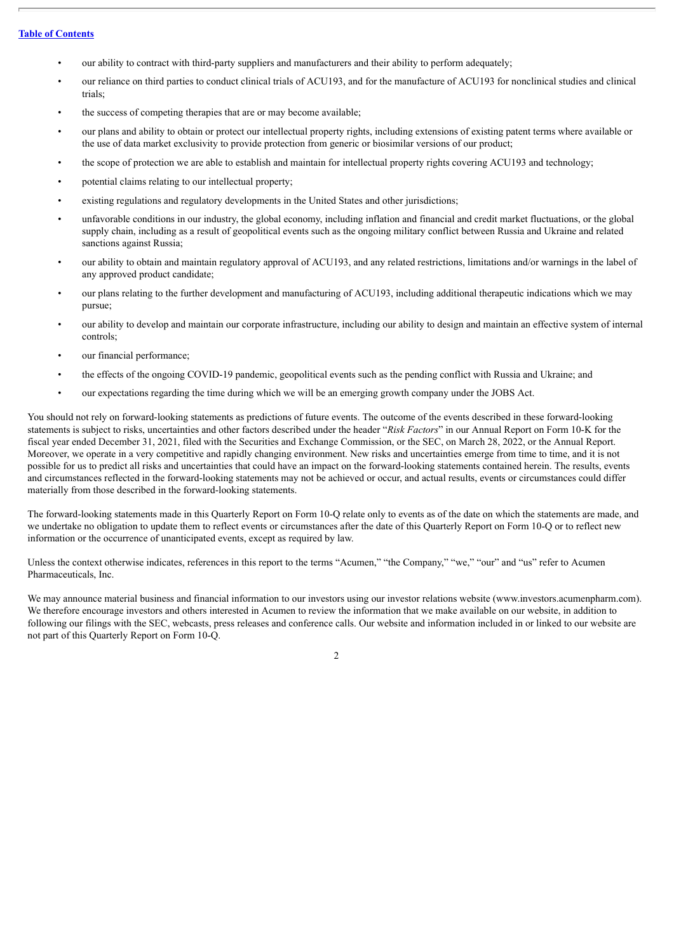- our ability to contract with third-party suppliers and manufacturers and their ability to perform adequately;
- our reliance on third parties to conduct clinical trials of ACU193, and for the manufacture of ACU193 for nonclinical studies and clinical trials;
- the success of competing therapies that are or may become available;
- our plans and ability to obtain or protect our intellectual property rights, including extensions of existing patent terms where available or the use of data market exclusivity to provide protection from generic or biosimilar versions of our product;
- the scope of protection we are able to establish and maintain for intellectual property rights covering ACU193 and technology;
- potential claims relating to our intellectual property;
- existing regulations and regulatory developments in the United States and other jurisdictions;
- unfavorable conditions in our industry, the global economy, including inflation and financial and credit market fluctuations, or the global supply chain, including as a result of geopolitical events such as the ongoing military conflict between Russia and Ukraine and related sanctions against Russia;
- our ability to obtain and maintain regulatory approval of ACU193, and any related restrictions, limitations and/or warnings in the label of any approved product candidate;
- our plans relating to the further development and manufacturing of ACU193, including additional therapeutic indications which we may pursue;
- our ability to develop and maintain our corporate infrastructure, including our ability to design and maintain an effective system of internal controls;
- our financial performance;
- the effects of the ongoing COVID-19 pandemic, geopolitical events such as the pending conflict with Russia and Ukraine; and
- our expectations regarding the time during which we will be an emerging growth company under the JOBS Act.

You should not rely on forward-looking statements as predictions of future events. The outcome of the events described in these forward-looking statements is subject to risks, uncertainties and other factors described under the header "*Risk Factors*" in our Annual Report on Form 10-K for the fiscal year ended December 31, 2021, filed with the Securities and Exchange Commission, or the SEC, on March 28, 2022, or the Annual Report. Moreover, we operate in a very competitive and rapidly changing environment. New risks and uncertainties emerge from time to time, and it is not possible for us to predict all risks and uncertainties that could have an impact on the forward-looking statements contained herein. The results, events and circumstances reflected in the forward-looking statements may not be achieved or occur, and actual results, events or circumstances could differ materially from those described in the forward-looking statements.

The forward-looking statements made in this Quarterly Report on Form 10-Q relate only to events as of the date on which the statements are made, and we undertake no obligation to update them to reflect events or circumstances after the date of this Quarterly Report on Form 10-Q or to reflect new information or the occurrence of unanticipated events, except as required by law.

Unless the context otherwise indicates, references in this report to the terms "Acumen," "the Company," "we," "our" and "us" refer to Acumen Pharmaceuticals, Inc.

We may announce material business and financial information to our investors using our investor relations website (www.investors.acumenpharm.com). We therefore encourage investors and others interested in Acumen to review the information that we make available on our website, in addition to following our filings with the SEC, webcasts, press releases and conference calls. Our website and information included in or linked to our website are not part of this Quarterly Report on Form 10-Q.

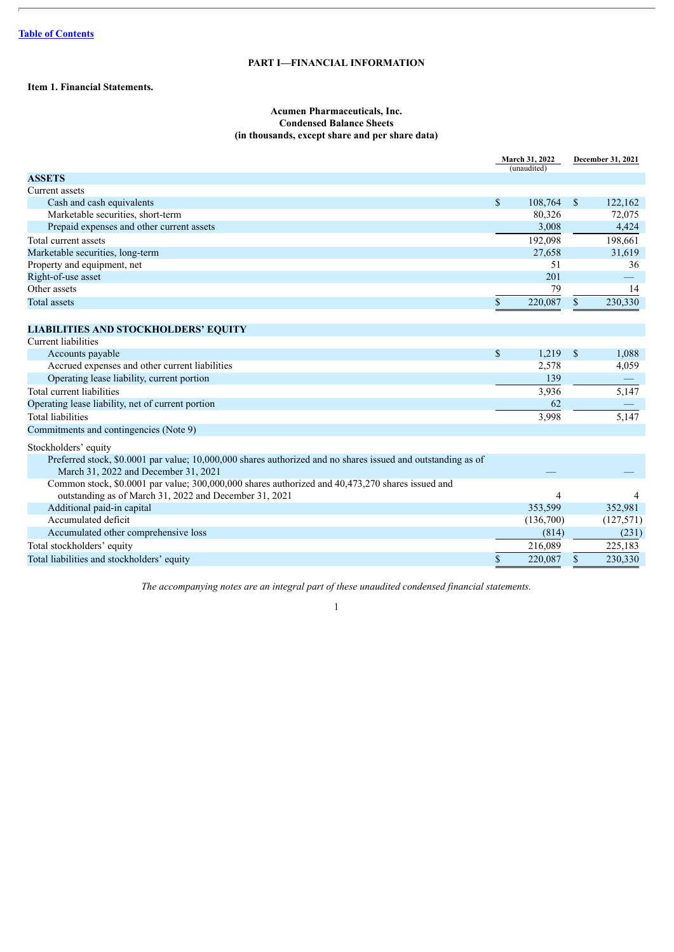## **PART I—FINANCIAL INFORMATION**

## <span id="page-3-2"></span><span id="page-3-1"></span><span id="page-3-0"></span>**Item 1. Financial Statements.**

## **Acumen Pharmaceuticals, Inc. Condensed Balance Sheets (in thousands, except share and per share data)**

|                                                                                                              | March 31, 2022<br>(unaudited) |                        | December 31, 2021 |
|--------------------------------------------------------------------------------------------------------------|-------------------------------|------------------------|-------------------|
| <b>ASSETS</b>                                                                                                |                               |                        |                   |
| Current assets                                                                                               |                               |                        |                   |
| Cash and cash equivalents                                                                                    | \$<br>108,764                 | <sup>\$</sup>          | 122,162           |
| Marketable securities, short-term                                                                            | 80,326                        |                        | 72,075            |
| Prepaid expenses and other current assets                                                                    | 3,008                         |                        | 4,424             |
| Total current assets                                                                                         | 192,098                       |                        | 198,661           |
| Marketable securities, long-term                                                                             | 27,658                        |                        | 31,619            |
| Property and equipment, net                                                                                  | 51                            |                        | 36                |
| Right-of-use asset                                                                                           | 201                           |                        |                   |
| Other assets                                                                                                 | 79                            |                        | 14                |
| <b>Total assets</b>                                                                                          | \$<br>220,087                 | \$                     | 230,330           |
|                                                                                                              |                               |                        |                   |
| <b>LIABILITIES AND STOCKHOLDERS' EQUITY</b>                                                                  |                               |                        |                   |
| Current liabilities                                                                                          |                               |                        |                   |
| Accounts payable                                                                                             | \$<br>1,219                   | $\mathbf{\mathcal{S}}$ | 1,088             |
| Accrued expenses and other current liabilities                                                               | 2,578                         |                        | 4,059             |
| Operating lease liability, current portion                                                                   | 139                           |                        |                   |
| Total current liabilities                                                                                    | 3,936                         |                        | 5,147             |
| Operating lease liability, net of current portion                                                            | 62                            |                        |                   |
| <b>Total liabilities</b>                                                                                     | 3,998                         |                        | 5,147             |
| Commitments and contingencies (Note 9)                                                                       |                               |                        |                   |
| Stockholders' equity                                                                                         |                               |                        |                   |
| Preferred stock, \$0.0001 par value; 10,000,000 shares authorized and no shares issued and outstanding as of |                               |                        |                   |
| March 31, 2022 and December 31, 2021                                                                         |                               |                        |                   |
| Common stock, \$0.0001 par value; 300,000,000 shares authorized and 40,473,270 shares issued and             |                               |                        |                   |
| outstanding as of March 31, 2022 and December 31, 2021                                                       | $\overline{4}$                |                        | 4                 |
| Additional paid-in capital                                                                                   | 353,599                       |                        | 352,981           |
| Accumulated deficit                                                                                          | (136,700)                     |                        | (127, 571)        |
| Accumulated other comprehensive loss                                                                         | (814)                         |                        | (231)             |
| Total stockholders' equity                                                                                   | 216,089                       |                        | 225,183           |
| Total liabilities and stockholders' equity                                                                   | \$<br>220,087                 | $\mathbf{\hat{S}}$     | 230,330           |

*The accompanying notes are an integral part of these unaudited condensed financial statements.*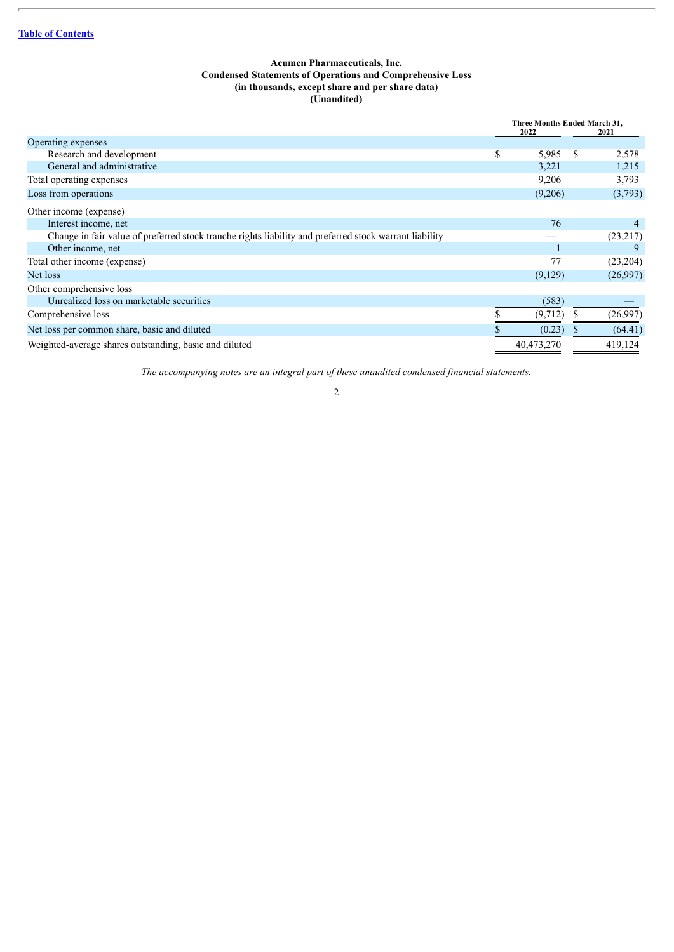## **Acumen Pharmaceuticals, Inc. Condensed Statements of Operations and Comprehensive Loss (in thousands, except share and per share data) (Unaudited)**

<span id="page-4-0"></span>

|                                                                                                        | Three Months Ended March 31, |     |           |
|--------------------------------------------------------------------------------------------------------|------------------------------|-----|-----------|
|                                                                                                        | 2022                         |     | 2021      |
| Operating expenses                                                                                     |                              |     |           |
| Research and development                                                                               | \$<br>5,985                  | \$. | 2,578     |
| General and administrative                                                                             | 3,221                        |     | 1,215     |
| Total operating expenses                                                                               | 9,206                        |     | 3,793     |
| Loss from operations                                                                                   | (9,206)                      |     | (3,793)   |
| Other income (expense)                                                                                 |                              |     |           |
| Interest income, net                                                                                   | 76                           |     |           |
| Change in fair value of preferred stock tranche rights liability and preferred stock warrant liability |                              |     | (23,217)  |
| Other income, net                                                                                      |                              |     |           |
| Total other income (expense)                                                                           | 77                           |     | (23, 204) |
| Net loss                                                                                               | (9,129)                      |     | (26,997)  |
| Other comprehensive loss                                                                               |                              |     |           |
| Unrealized loss on marketable securities                                                               | (583)                        |     |           |
| Comprehensive loss                                                                                     | (9, 712)                     |     | (26,997)  |
| Net loss per common share, basic and diluted                                                           | (0.23)                       |     | (64.41)   |
| Weighted-average shares outstanding, basic and diluted                                                 | 40,473,270                   |     | 419,124   |

*The accompanying notes are an integral part of these unaudited condensed financial statements.*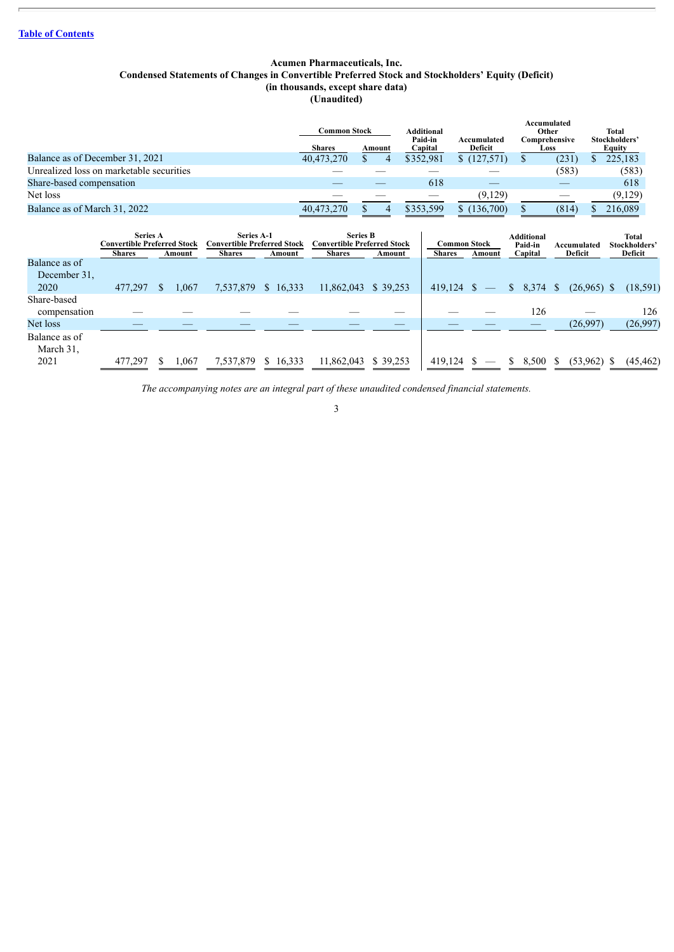#### **Acumen Pharmaceuticals, Inc. Condensed Statements of Changes in Convertible Preferred Stock and Stockholders' Equity (Deficit) (in thousands, except share data) (Unaudited)**

<span id="page-5-0"></span>

|                                          | <b>Common Stock</b> |        |           |             | <b>Additional</b><br>Paid-in | Accumulated   | Accumulated<br>Other<br>Comprehensive | Total<br>Stockholders' |
|------------------------------------------|---------------------|--------|-----------|-------------|------------------------------|---------------|---------------------------------------|------------------------|
|                                          | <b>Shares</b>       | Amount | Capital   | Deficit     | Loss                         | <b>Equity</b> |                                       |                        |
| Balance as of December 31, 2021          | 40,473,270          | 4      | \$352.981 | \$(127,571) | (231)                        | 225,183       |                                       |                        |
| Unrealized loss on marketable securities |                     |        |           |             | (583)                        | (583)         |                                       |                        |
| Share-based compensation                 |                     |        | 618       |             |                              | 618           |                                       |                        |
| Net loss                                 |                     |        |           | (9,129)     |                              | (9,129)       |                                       |                        |
| Balance as of March 31, 2022             | 40.473.270          |        | \$353.599 | \$(136,700) | (814)                        | 216.089       |                                       |                        |

| Deficit                    |
|----------------------------|
|                            |
|                            |
|                            |
| $(26.965)$ \$<br>(18, 591) |
|                            |
| 126                        |
| (26,997)                   |
|                            |
| $(53.962)$ \$<br>(45, 462) |
| (26,997)                   |

*The accompanying notes are an integral part of these unaudited condensed financial statements.*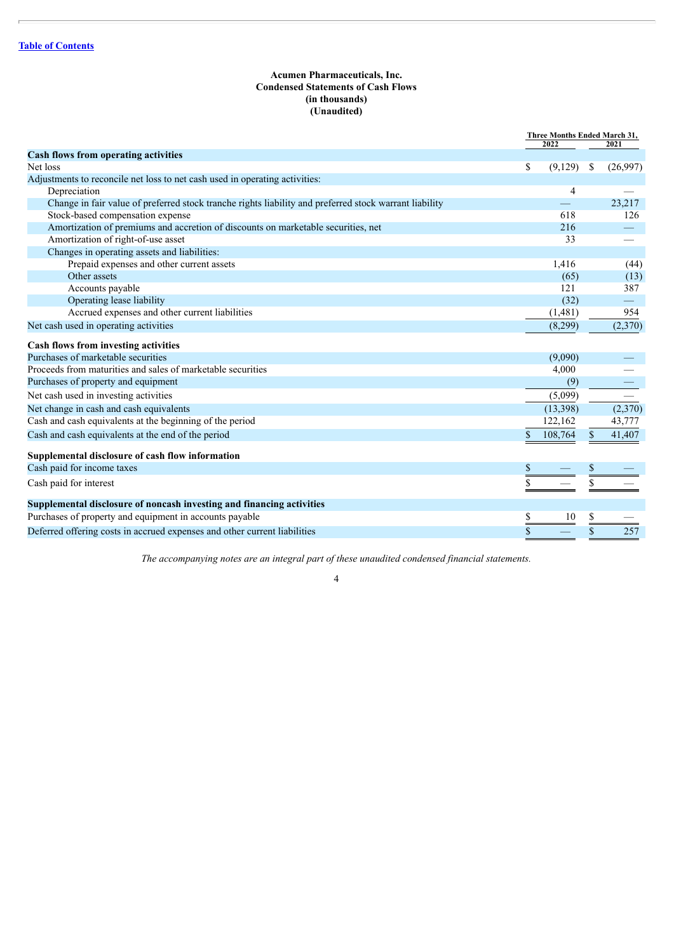## **Acumen Pharmaceuticals, Inc. Condensed Statements of Cash Flows (in thousands) (Unaudited)**

<span id="page-6-0"></span>

|                                                                                                                         |             | Three Months Ended March 31, |                |
|-------------------------------------------------------------------------------------------------------------------------|-------------|------------------------------|----------------|
|                                                                                                                         |             | 2022                         | 2021           |
| <b>Cash flows from operating activities</b><br>Net loss                                                                 |             |                              |                |
|                                                                                                                         | \$          | (9,129)                      | \$<br>(26,997) |
| Adjustments to reconcile net loss to net cash used in operating activities:<br>Depreciation                             |             |                              |                |
|                                                                                                                         |             | 4                            |                |
| Change in fair value of preferred stock tranche rights liability and preferred stock warrant liability                  |             | 618                          | 23,217         |
| Stock-based compensation expense                                                                                        |             |                              | 126            |
| Amortization of premiums and accretion of discounts on marketable securities, net<br>Amortization of right-of-use asset |             | 216<br>33                    |                |
|                                                                                                                         |             |                              |                |
| Changes in operating assets and liabilities:                                                                            |             |                              |                |
| Prepaid expenses and other current assets<br>Other assets                                                               |             | 1,416                        | (44)           |
|                                                                                                                         |             | (65)<br>121                  | (13)           |
| Accounts payable                                                                                                        |             |                              | 387            |
| Operating lease liability                                                                                               |             | (32)                         |                |
| Accrued expenses and other current liabilities                                                                          |             | (1, 481)                     | 954            |
| Net cash used in operating activities                                                                                   |             | (8,299)                      | (2,370)        |
| Cash flows from investing activities                                                                                    |             |                              |                |
| Purchases of marketable securities                                                                                      |             | (9,090)                      |                |
| Proceeds from maturities and sales of marketable securities                                                             |             | 4,000                        |                |
| Purchases of property and equipment                                                                                     |             | (9)                          |                |
| Net cash used in investing activities                                                                                   |             | (5,099)                      |                |
| Net change in cash and cash equivalents                                                                                 |             | (13,398)                     | (2,370)        |
| Cash and cash equivalents at the beginning of the period                                                                |             | 122,162                      | 43,777         |
| Cash and cash equivalents at the end of the period                                                                      | $\mathbf S$ | 108,764                      | \$<br>41,407   |
| Supplemental disclosure of cash flow information                                                                        |             |                              |                |
| Cash paid for income taxes                                                                                              |             |                              | \$             |
|                                                                                                                         |             |                              | \$             |
| Cash paid for interest                                                                                                  |             |                              |                |
| Supplemental disclosure of noncash investing and financing activities                                                   |             |                              |                |
| Purchases of property and equipment in accounts payable                                                                 | \$          | 10                           | \$             |
| Deferred offering costs in accrued expenses and other current liabilities                                               | \$          |                              | \$<br>257      |

*The accompanying notes are an integral part of these unaudited condensed financial statements.*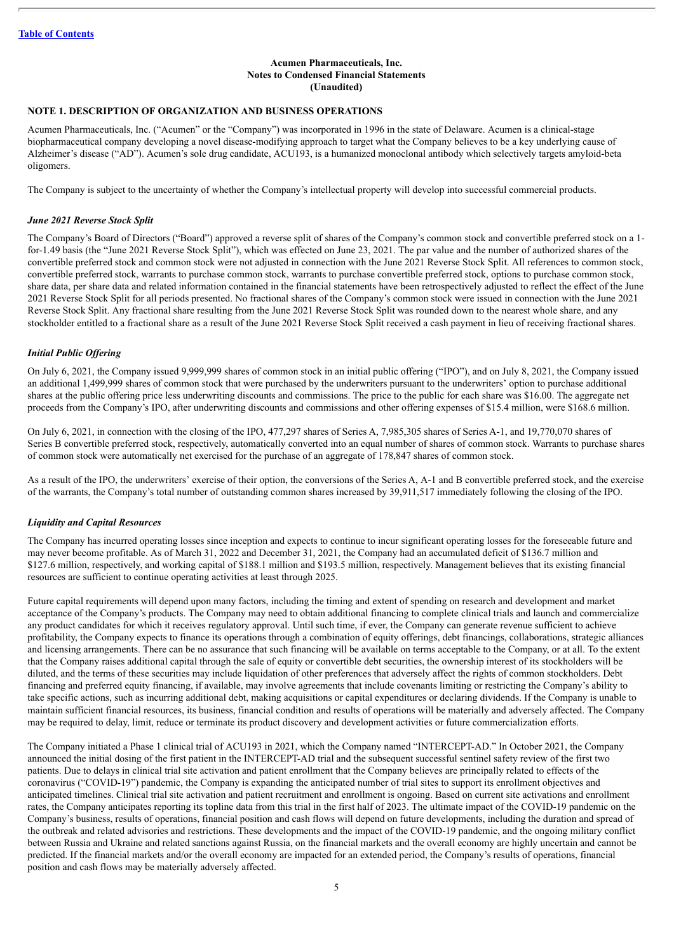#### <span id="page-7-0"></span>**NOTE 1. DESCRIPTION OF ORGANIZATION AND BUSINESS OPERATIONS**

Acumen Pharmaceuticals, Inc. ("Acumen" or the "Company") was incorporated in 1996 in the state of Delaware. Acumen is a clinical-stage biopharmaceutical company developing a novel disease-modifying approach to target what the Company believes to be a key underlying cause of Alzheimer's disease ("AD"). Acumen's sole drug candidate, ACU193, is a humanized monoclonal antibody which selectively targets amyloid-beta oligomers.

The Company is subject to the uncertainty of whether the Company's intellectual property will develop into successful commercial products.

#### *June 2021 Reverse Stock Split*

The Company's Board of Directors ("Board") approved a reverse split of shares of the Company's common stock and convertible preferred stock on a 1 for-1.49 basis (the "June 2021 Reverse Stock Split"), which was effected on June 23, 2021. The par value and the number of authorized shares of the convertible preferred stock and common stock were not adjusted in connection with the June 2021 Reverse Stock Split. All references to common stock, convertible preferred stock, warrants to purchase common stock, warrants to purchase convertible preferred stock, options to purchase common stock, share data, per share data and related information contained in the financial statements have been retrospectively adjusted to reflect the effect of the June 2021 Reverse Stock Split for all periods presented. No fractional shares of the Company's common stock were issued in connection with the June 2021 Reverse Stock Split. Any fractional share resulting from the June 2021 Reverse Stock Split was rounded down to the nearest whole share, and any stockholder entitled to a fractional share as a result of the June 2021 Reverse Stock Split received a cash payment in lieu of receiving fractional shares.

#### *Initial Public Of ering*

On July 6, 2021, the Company issued 9,999,999 shares of common stock in an initial public offering ("IPO"), and on July 8, 2021, the Company issued an additional 1,499,999 shares of common stock that were purchased by the underwriters pursuant to the underwriters' option to purchase additional shares at the public offering price less underwriting discounts and commissions. The price to the public for each share was \$16.00. The aggregate net proceeds from the Company's IPO, after underwriting discounts and commissions and other offering expenses of \$15.4 million, were \$168.6 million.

On July 6, 2021, in connection with the closing of the IPO, 477,297 shares of Series A, 7,985,305 shares of Series A-1, and 19,770,070 shares of Series B convertible preferred stock, respectively, automatically converted into an equal number of shares of common stock. Warrants to purchase shares of common stock were automatically net exercised for the purchase of an aggregate of 178,847 shares of common stock.

As a result of the IPO, the underwriters' exercise of their option, the conversions of the Series A, A-1 and B convertible preferred stock, and the exercise of the warrants, the Company's total number of outstanding common shares increased by 39,911,517 immediately following the closing of the IPO.

#### *Liquidity and Capital Resources*

The Company has incurred operating losses since inception and expects to continue to incur significant operating losses for the foreseeable future and may never become profitable. As of March 31, 2022 and December 31, 2021, the Company had an accumulated deficit of \$136.7 million and \$127.6 million, respectively, and working capital of \$188.1 million and \$193.5 million, respectively. Management believes that its existing financial resources are sufficient to continue operating activities at least through 2025.

Future capital requirements will depend upon many factors, including the timing and extent of spending on research and development and market acceptance of the Company's products. The Company may need to obtain additional financing to complete clinical trials and launch and commercialize any product candidates for which it receives regulatory approval. Until such time, if ever, the Company can generate revenue sufficient to achieve profitability, the Company expects to finance its operations through a combination of equity offerings, debt financings, collaborations, strategic alliances and licensing arrangements. There can be no assurance that such financing will be available on terms acceptable to the Company, or at all. To the extent that the Company raises additional capital through the sale of equity or convertible debt securities, the ownership interest of its stockholders will be diluted, and the terms of these securities may include liquidation of other preferences that adversely affect the rights of common stockholders. Debt financing and preferred equity financing, if available, may involve agreements that include covenants limiting or restricting the Company's ability to take specific actions, such as incurring additional debt, making acquisitions or capital expenditures or declaring dividends. If the Company is unable to maintain sufficient financial resources, its business, financial condition and results of operations will be materially and adversely affected. The Company may be required to delay, limit, reduce or terminate its product discovery and development activities or future commercialization efforts.

The Company initiated a Phase 1 clinical trial of ACU193 in 2021, which the Company named "INTERCEPT-AD." In October 2021, the Company announced the initial dosing of the first patient in the INTERCEPT-AD trial and the subsequent successful sentinel safety review of the first two patients. Due to delays in clinical trial site activation and patient enrollment that the Company believes are principally related to effects of the coronavirus ("COVID-19") pandemic, the Company is expanding the anticipated number of trial sites to support its enrollment objectives and anticipated timelines. Clinical trial site activation and patient recruitment and enrollment is ongoing. Based on current site activations and enrollment rates, the Company anticipates reporting its topline data from this trial in the first half of 2023. The ultimate impact of the COVID-19 pandemic on the Company's business, results of operations, financial position and cash flows will depend on future developments, including the duration and spread of the outbreak and related advisories and restrictions. These developments and the impact of the COVID-19 pandemic, and the ongoing military conflict between Russia and Ukraine and related sanctions against Russia, on the financial markets and the overall economy are highly uncertain and cannot be predicted. If the financial markets and/or the overall economy are impacted for an extended period, the Company's results of operations, financial position and cash flows may be materially adversely affected.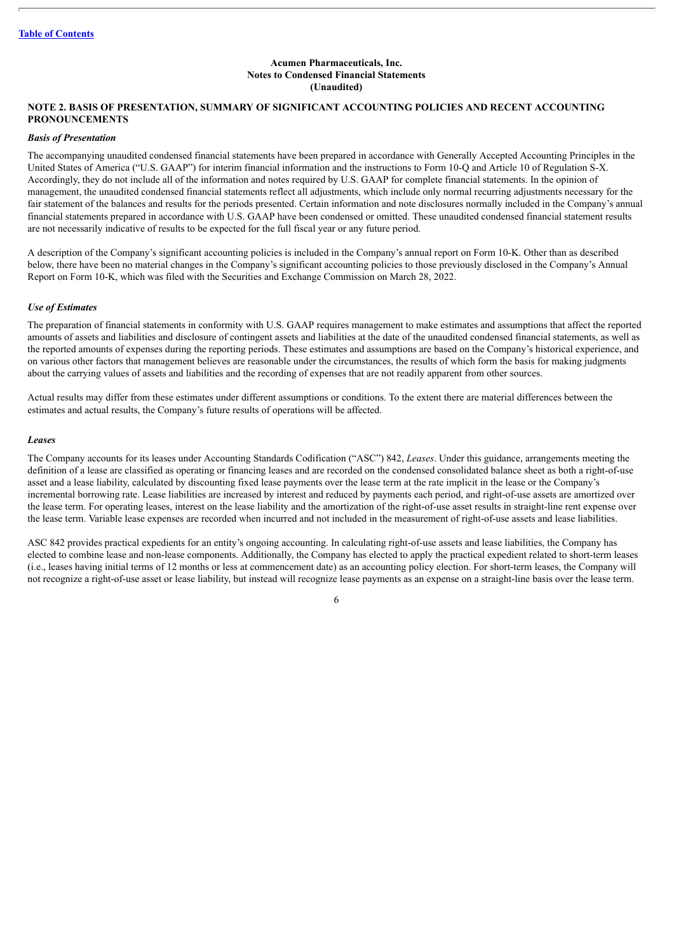## **NOTE 2. BASIS OF PRESENTATION, SUMMARY OF SIGNIFICANT ACCOUNTING POLICIES AND RECENT ACCOUNTING PRONOUNCEMENTS**

#### *Basis of Presentation*

The accompanying unaudited condensed financial statements have been prepared in accordance with Generally Accepted Accounting Principles in the United States of America ("U.S. GAAP") for interim financial information and the instructions to Form 10-Q and Article 10 of Regulation S-X. Accordingly, they do not include all of the information and notes required by U.S. GAAP for complete financial statements. In the opinion of management, the unaudited condensed financial statements reflect all adjustments, which include only normal recurring adjustments necessary for the fair statement of the balances and results for the periods presented. Certain information and note disclosures normally included in the Company's annual financial statements prepared in accordance with U.S. GAAP have been condensed or omitted. These unaudited condensed financial statement results are not necessarily indicative of results to be expected for the full fiscal year or any future period.

A description of the Company's significant accounting policies is included in the Company's annual report on Form 10-K. Other than as described below, there have been no material changes in the Company's significant accounting policies to those previously disclosed in the Company's Annual Report on Form 10-K, which was filed with the Securities and Exchange Commission on March 28, 2022.

#### *Use of Estimates*

The preparation of financial statements in conformity with U.S. GAAP requires management to make estimates and assumptions that affect the reported amounts of assets and liabilities and disclosure of contingent assets and liabilities at the date of the unaudited condensed financial statements, as well as the reported amounts of expenses during the reporting periods. These estimates and assumptions are based on the Company's historical experience, and on various other factors that management believes are reasonable under the circumstances, the results of which form the basis for making judgments about the carrying values of assets and liabilities and the recording of expenses that are not readily apparent from other sources.

Actual results may differ from these estimates under different assumptions or conditions. To the extent there are material differences between the estimates and actual results, the Company's future results of operations will be affected.

#### *Leases*

The Company accounts for its leases under Accounting Standards Codification ("ASC") 842, *Leases*. Under this guidance, arrangements meeting the definition of a lease are classified as operating or financing leases and are recorded on the condensed consolidated balance sheet as both a right-of-use asset and a lease liability, calculated by discounting fixed lease payments over the lease term at the rate implicit in the lease or the Company's incremental borrowing rate. Lease liabilities are increased by interest and reduced by payments each period, and right-of-use assets are amortized over the lease term. For operating leases, interest on the lease liability and the amortization of the right-of-use asset results in straight-line rent expense over the lease term. Variable lease expenses are recorded when incurred and not included in the measurement of right-of-use assets and lease liabilities.

ASC 842 provides practical expedients for an entity's ongoing accounting. In calculating right-of-use assets and lease liabilities, the Company has elected to combine lease and non-lease components. Additionally, the Company has elected to apply the practical expedient related to short-term leases (i.e., leases having initial terms of 12 months or less at commencement date) as an accounting policy election. For short-term leases, the Company will not recognize a right-of-use asset or lease liability, but instead will recognize lease payments as an expense on a straight-line basis over the lease term.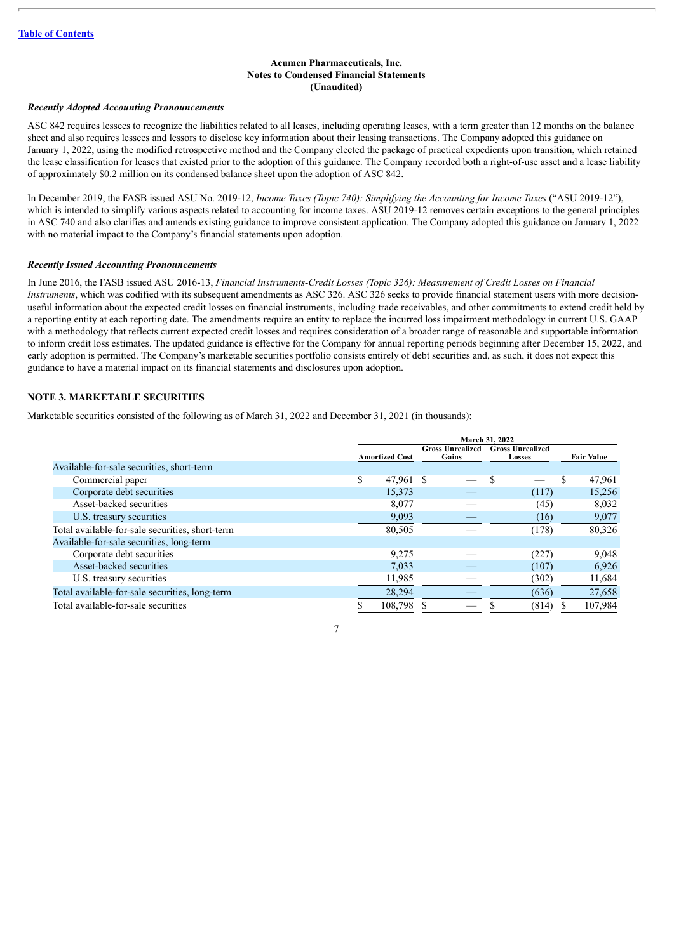#### *Recently Adopted Accounting Pronouncements*

ASC 842 requires lessees to recognize the liabilities related to all leases, including operating leases, with a term greater than 12 months on the balance sheet and also requires lessees and lessors to disclose key information about their leasing transactions. The Company adopted this guidance on January 1, 2022, using the modified retrospective method and the Company elected the package of practical expedients upon transition, which retained the lease classification for leases that existed prior to the adoption of this guidance. The Company recorded both a right-of-use asset and a lease liability of approximately \$0.2 million on its condensed balance sheet upon the adoption of ASC 842.

In December 2019, the FASB issued ASU No. 2019-12, *Income Taxes (Topic 740): Simplifying the Accounting for Income Taxes* ("ASU 2019-12"), which is intended to simplify various aspects related to accounting for income taxes. ASU 2019-12 removes certain exceptions to the general principles in ASC 740 and also clarifies and amends existing guidance to improve consistent application. The Company adopted this guidance on January 1, 2022 with no material impact to the Company's financial statements upon adoption.

#### *Recently Issued Accounting Pronouncements*

In June 2016, the FASB issued ASU 2016-13, *Financial Instruments-Credit Losses (Topic 326): Measurement of Credit Losses on Financial Instruments*, which was codified with its subsequent amendments as ASC 326. ASC 326 seeks to provide financial statement users with more decisionuseful information about the expected credit losses on financial instruments, including trade receivables, and other commitments to extend credit held by a reporting entity at each reporting date. The amendments require an entity to replace the incurred loss impairment methodology in current U.S. GAAP with a methodology that reflects current expected credit losses and requires consideration of a broader range of reasonable and supportable information to inform credit loss estimates. The updated guidance is effective for the Company for annual reporting periods beginning after December 15, 2022, and early adoption is permitted. The Company's marketable securities portfolio consists entirely of debt securities and, as such, it does not expect this guidance to have a material impact on its financial statements and disclosures upon adoption.

## **NOTE 3. MARKETABLE SECURITIES**

Marketable securities consisted of the following as of March 31, 2022 and December 31, 2021 (in thousands):

|                                                 | <b>March 31, 2022</b> |                       |                                  |  |                                   |       |    |                   |
|-------------------------------------------------|-----------------------|-----------------------|----------------------------------|--|-----------------------------------|-------|----|-------------------|
|                                                 |                       | <b>Amortized Cost</b> | <b>Gross Unrealized</b><br>Gains |  | <b>Gross Unrealized</b><br>Losses |       |    | <b>Fair Value</b> |
| Available-for-sale securities, short-term       |                       |                       |                                  |  |                                   |       |    |                   |
| Commercial paper                                | S                     | 47,961 \$             |                                  |  | S                                 |       | \$ | 47,961            |
| Corporate debt securities                       |                       | 15,373                |                                  |  |                                   | (117) |    | 15,256            |
| Asset-backed securities                         |                       | 8,077                 |                                  |  |                                   | (45)  |    | 8,032             |
| U.S. treasury securities                        |                       | 9,093                 |                                  |  |                                   | (16)  |    | 9,077             |
| Total available-for-sale securities, short-term |                       | 80,505                |                                  |  |                                   | (178) |    | 80,326            |
| Available-for-sale securities, long-term        |                       |                       |                                  |  |                                   |       |    |                   |
| Corporate debt securities                       |                       | 9,275                 |                                  |  |                                   | (227) |    | 9,048             |
| Asset-backed securities                         |                       | 7,033                 |                                  |  |                                   | (107) |    | 6,926             |
| U.S. treasury securities                        |                       | 11,985                |                                  |  |                                   | (302) |    | 11,684            |
| Total available-for-sale securities, long-term  |                       | 28,294                |                                  |  |                                   | (636) |    | 27,658            |
| Total available-for-sale securities             |                       | 108,798               |                                  |  |                                   | (814) |    | 107,984           |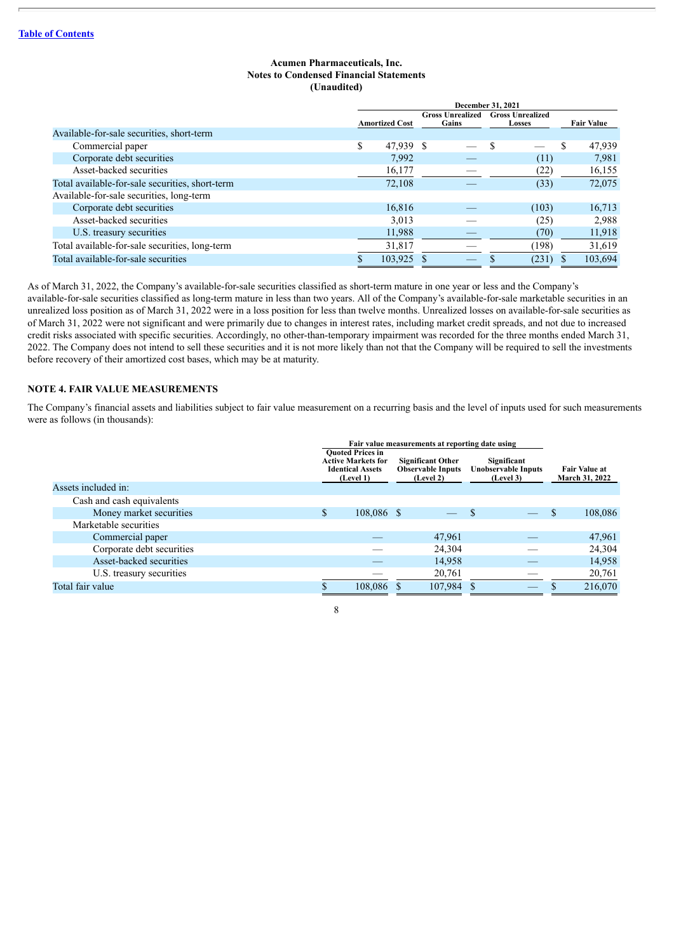|                                                 | December 31, 2021     |           |                                  |  |                                   |       |   |                   |  |
|-------------------------------------------------|-----------------------|-----------|----------------------------------|--|-----------------------------------|-------|---|-------------------|--|
|                                                 | <b>Amortized Cost</b> |           | <b>Gross Unrealized</b><br>Gains |  | <b>Gross Unrealized</b><br>Losses |       |   | <b>Fair Value</b> |  |
| Available-for-sale securities, short-term       |                       |           |                                  |  |                                   |       |   |                   |  |
| Commercial paper                                | \$                    | 47,939 \$ |                                  |  |                                   |       | S | 47,939            |  |
| Corporate debt securities                       |                       | 7,992     |                                  |  |                                   | (11)  |   | 7,981             |  |
| Asset-backed securities                         |                       | 16,177    |                                  |  |                                   | (22)  |   | 16,155            |  |
| Total available-for-sale securities, short-term |                       | 72,108    |                                  |  |                                   | (33)  |   | 72,075            |  |
| Available-for-sale securities, long-term        |                       |           |                                  |  |                                   |       |   |                   |  |
| Corporate debt securities                       |                       | 16,816    |                                  |  |                                   | (103) |   | 16,713            |  |
| Asset-backed securities                         |                       | 3,013     |                                  |  |                                   | (25)  |   | 2,988             |  |
| U.S. treasury securities                        |                       | 11,988    |                                  |  |                                   | (70)  |   | 11,918            |  |
| Total available-for-sale securities, long-term  |                       | 31,817    |                                  |  |                                   | (198) |   | 31,619            |  |
| Total available-for-sale securities             |                       | 103,925   |                                  |  |                                   | (231) |   | 103,694           |  |

As of March 31, 2022, the Company's available-for-sale securities classified as short-term mature in one year or less and the Company's available-for-sale securities classified as long-term mature in less than two years. All of the Company's available-for-sale marketable securities in an unrealized loss position as of March 31, 2022 were in a loss position for less than twelve months. Unrealized losses on available-for-sale securities as of March 31, 2022 were not significant and were primarily due to changes in interest rates, including market credit spreads, and not due to increased credit risks associated with specific securities. Accordingly, no other-than-temporary impairment was recorded for the three months ended March 31, 2022. The Company does not intend to sell these securities and it is not more likely than not that the Company will be required to sell the investments before recovery of their amortized cost bases, which may be at maturity.

## **NOTE 4. FAIR VALUE MEASUREMENTS**

The Company's financial assets and liabilities subject to fair value measurement on a recurring basis and the level of inputs used for such measurements were as follows (in thousands):

|                           | Fair value measurements at reporting date using                                              |  |  |                                                                   |                                                        |  |   |                                        |
|---------------------------|----------------------------------------------------------------------------------------------|--|--|-------------------------------------------------------------------|--------------------------------------------------------|--|---|----------------------------------------|
|                           | <b>Ouoted Prices in</b><br><b>Active Markets for</b><br><b>Identical Assets</b><br>(Level 1) |  |  | <b>Significant Other</b><br><b>Observable Inputs</b><br>(Level 2) | Significant<br><b>Unobservable Inputs</b><br>(Level 3) |  |   | <b>Fair Value at</b><br>March 31, 2022 |
| Assets included in:       |                                                                                              |  |  |                                                                   |                                                        |  |   |                                        |
| Cash and cash equivalents |                                                                                              |  |  |                                                                   |                                                        |  |   |                                        |
| Money market securities   | \$<br>108,086 \$                                                                             |  |  |                                                                   | S.                                                     |  | S | 108,086                                |
| Marketable securities     |                                                                                              |  |  |                                                                   |                                                        |  |   |                                        |
| Commercial paper          |                                                                                              |  |  | 47,961                                                            |                                                        |  |   | 47,961                                 |
| Corporate debt securities |                                                                                              |  |  | 24,304                                                            |                                                        |  |   | 24,304                                 |
| Asset-backed securities   |                                                                                              |  |  | 14,958                                                            |                                                        |  |   | 14,958                                 |
| U.S. treasury securities  |                                                                                              |  |  | 20,761                                                            |                                                        |  |   | 20,761                                 |
| Total fair value          | 108.086                                                                                      |  |  | 107,984                                                           |                                                        |  |   | 216,070                                |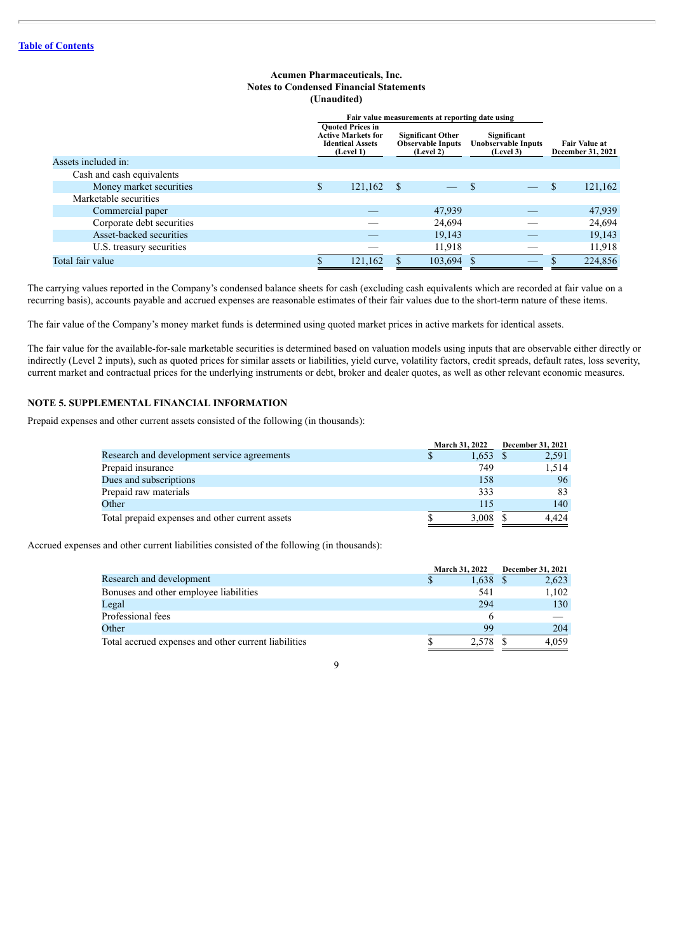|                           | Fair value measurements at reporting date using |                                                                                              |      |                                                                   |                                                        |  |              |                                           |
|---------------------------|-------------------------------------------------|----------------------------------------------------------------------------------------------|------|-------------------------------------------------------------------|--------------------------------------------------------|--|--------------|-------------------------------------------|
|                           |                                                 | <b>Ouoted Prices in</b><br><b>Active Markets for</b><br><b>Identical Assets</b><br>(Level 1) |      | <b>Significant Other</b><br><b>Observable Inputs</b><br>(Level 2) | Significant<br><b>Unobservable Inputs</b><br>(Level 3) |  |              | <b>Fair Value at</b><br>December 31, 2021 |
| Assets included in:       |                                                 |                                                                                              |      |                                                                   |                                                        |  |              |                                           |
| Cash and cash equivalents |                                                 |                                                                                              |      |                                                                   |                                                        |  |              |                                           |
| Money market securities   | \$                                              | 121,162                                                                                      | - \$ |                                                                   | S                                                      |  | <sup>S</sup> | 121,162                                   |
| Marketable securities     |                                                 |                                                                                              |      |                                                                   |                                                        |  |              |                                           |
| Commercial paper          |                                                 |                                                                                              |      | 47,939                                                            |                                                        |  |              | 47,939                                    |
| Corporate debt securities |                                                 |                                                                                              |      | 24,694                                                            |                                                        |  |              | 24,694                                    |
| Asset-backed securities   |                                                 |                                                                                              |      | 19,143                                                            |                                                        |  |              | 19,143                                    |
| U.S. treasury securities  |                                                 |                                                                                              |      | 11,918                                                            |                                                        |  |              | 11,918                                    |
| Total fair value          |                                                 | 121,162                                                                                      |      | 103,694                                                           |                                                        |  |              | 224,856                                   |

The carrying values reported in the Company's condensed balance sheets for cash (excluding cash equivalents which are recorded at fair value on a recurring basis), accounts payable and accrued expenses are reasonable estimates of their fair values due to the short-term nature of these items.

The fair value of the Company's money market funds is determined using quoted market prices in active markets for identical assets.

The fair value for the available-for-sale marketable securities is determined based on valuation models using inputs that are observable either directly or indirectly (Level 2 inputs), such as quoted prices for similar assets or liabilities, yield curve, volatility factors, credit spreads, default rates, loss severity, current market and contractual prices for the underlying instruments or debt, broker and dealer quotes, as well as other relevant economic measures.

## **NOTE 5. SUPPLEMENTAL FINANCIAL INFORMATION**

Prepaid expenses and other current assets consisted of the following (in thousands):

|                                                 |   | March 31, 2022 | <b>December 31, 2021</b> |
|-------------------------------------------------|---|----------------|--------------------------|
| Research and development service agreements     | ъ | 1,653          | 2,591                    |
| Prepaid insurance                               |   | 749            | 1.514                    |
| Dues and subscriptions                          |   | 158            | 96                       |
| Prepaid raw materials                           |   | 333            | 83                       |
| Other                                           |   | 115            | 140                      |
| Total prepaid expenses and other current assets |   | 3.008          | 4.424                    |

Accrued expenses and other current liabilities consisted of the following (in thousands):

|                                                      |   | March 31, 2022 |  | December 31, 2021 |
|------------------------------------------------------|---|----------------|--|-------------------|
| Research and development                             | J | 1.638          |  | 2,623             |
| Bonuses and other employee liabilities               |   | 541            |  | 1.102             |
| Legal                                                |   | 294            |  | 130               |
| Professional fees                                    |   | b              |  |                   |
| Other                                                |   | 99             |  | 204               |
| Total accrued expenses and other current liabilities |   | 2.578          |  | 4.059             |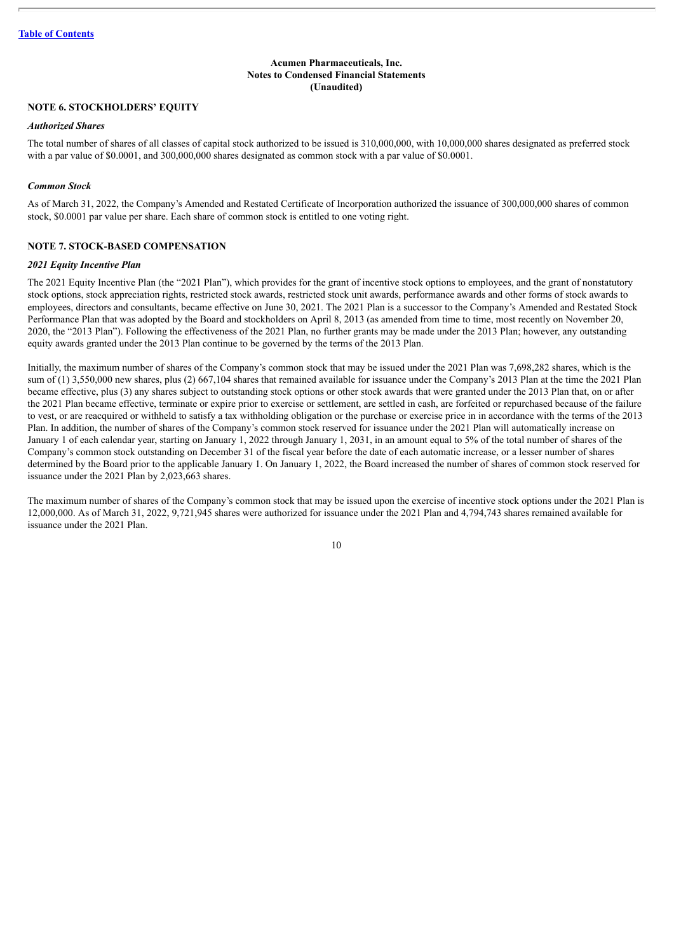#### **NOTE 6. STOCKHOLDERS' EQUITY**

#### *Authorized Shares*

The total number of shares of all classes of capital stock authorized to be issued is 310,000,000, with 10,000,000 shares designated as preferred stock with a par value of \$0.0001, and 300,000,000 shares designated as common stock with a par value of \$0.0001.

#### *Common Stock*

As of March 31, 2022, the Company's Amended and Restated Certificate of Incorporation authorized the issuance of 300,000,000 shares of common stock, \$0.0001 par value per share. Each share of common stock is entitled to one voting right.

#### **NOTE 7. STOCK-BASED COMPENSATION**

#### *2021 Equity Incentive Plan*

The 2021 Equity Incentive Plan (the "2021 Plan"), which provides for the grant of incentive stock options to employees, and the grant of nonstatutory stock options, stock appreciation rights, restricted stock awards, restricted stock unit awards, performance awards and other forms of stock awards to employees, directors and consultants, became effective on June 30, 2021. The 2021 Plan is a successor to the Company's Amended and Restated Stock Performance Plan that was adopted by the Board and stockholders on April 8, 2013 (as amended from time to time, most recently on November 20, 2020, the "2013 Plan"). Following the effectiveness of the 2021 Plan, no further grants may be made under the 2013 Plan; however, any outstanding equity awards granted under the 2013 Plan continue to be governed by the terms of the 2013 Plan.

Initially, the maximum number of shares of the Company's common stock that may be issued under the 2021 Plan was 7,698,282 shares, which is the sum of (1) 3,550,000 new shares, plus (2) 667,104 shares that remained available for issuance under the Company's 2013 Plan at the time the 2021 Plan became effective, plus (3) any shares subject to outstanding stock options or other stock awards that were granted under the 2013 Plan that, on or after the 2021 Plan became effective, terminate or expire prior to exercise or settlement, are settled in cash, are forfeited or repurchased because of the failure to vest, or are reacquired or withheld to satisfy a tax withholding obligation or the purchase or exercise price in in accordance with the terms of the 2013 Plan. In addition, the number of shares of the Company's common stock reserved for issuance under the 2021 Plan will automatically increase on January 1 of each calendar year, starting on January 1, 2022 through January 1, 2031, in an amount equal to 5% of the total number of shares of the Company's common stock outstanding on December 31 of the fiscal year before the date of each automatic increase, or a lesser number of shares determined by the Board prior to the applicable January 1. On January 1, 2022, the Board increased the number of shares of common stock reserved for issuance under the 2021 Plan by 2,023,663 shares.

The maximum number of shares of the Company's common stock that may be issued upon the exercise of incentive stock options under the 2021 Plan is 12,000,000. As of March 31, 2022, 9,721,945 shares were authorized for issuance under the 2021 Plan and 4,794,743 shares remained available for issuance under the 2021 Plan.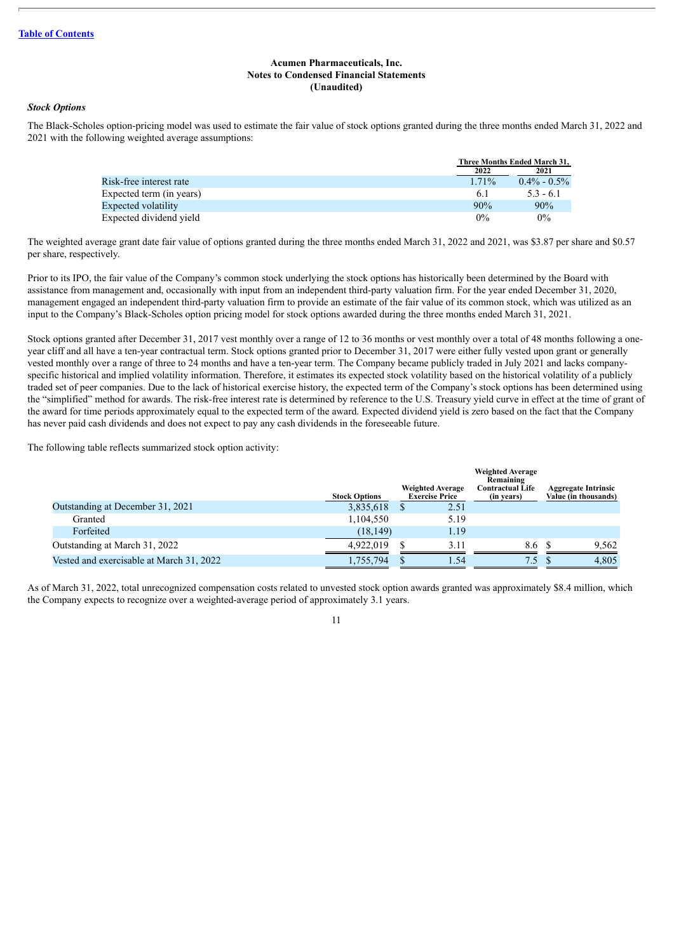## *Stock Options*

The Black-Scholes option-pricing model was used to estimate the fair value of stock options granted during the three months ended March 31, 2022 and 2021 with the following weighted average assumptions:

|                          | Three Months Ended March 31, |                 |  |
|--------------------------|------------------------------|-----------------|--|
|                          | 2022                         | 2021            |  |
| Risk-free interest rate  | $171\%$                      | $0.4\% - 0.5\%$ |  |
| Expected term (in years) | 6.1                          | 53-61           |  |
| Expected volatility      | 90%                          | 90%             |  |
| Expected dividend vield  | $0\%$                        | $0\%$           |  |

The weighted average grant date fair value of options granted during the three months ended March 31, 2022 and 2021, was \$3.87 per share and \$0.57 per share, respectively.

Prior to its IPO, the fair value of the Company's common stock underlying the stock options has historically been determined by the Board with assistance from management and, occasionally with input from an independent third-party valuation firm. For the year ended December 31, 2020, management engaged an independent third-party valuation firm to provide an estimate of the fair value of its common stock, which was utilized as an input to the Company's Black-Scholes option pricing model for stock options awarded during the three months ended March 31, 2021.

Stock options granted after December 31, 2017 vest monthly over a range of 12 to 36 months or vest monthly over a total of 48 months following a oneyear cliff and all have a ten-year contractual term. Stock options granted prior to December 31, 2017 were either fully vested upon grant or generally vested monthly over a range of three to 24 months and have a ten-year term. The Company became publicly traded in July 2021 and lacks companyspecific historical and implied volatility information. Therefore, it estimates its expected stock volatility based on the historical volatility of a publicly traded set of peer companies. Due to the lack of historical exercise history, the expected term of the Company's stock options has been determined using the "simplified" method for awards. The risk-free interest rate is determined by reference to the U.S. Treasury yield curve in effect at the time of grant of the award for time periods approximately equal to the expected term of the award. Expected dividend yield is zero based on the fact that the Company has never paid cash dividends and does not expect to pay any cash dividends in the foreseeable future.

The following table reflects summarized stock option activity:

|                                          | <b>Stock Options</b> | <b>Weighted Average</b><br><b>Exercise Price</b> | <b>Weighted Average</b><br>Remaining<br><b>Contractual Life</b><br>(in years) | <b>Aggregate Intrinsic</b><br>Value (in thousands) |       |
|------------------------------------------|----------------------|--------------------------------------------------|-------------------------------------------------------------------------------|----------------------------------------------------|-------|
| Outstanding at December 31, 2021         | 3,835,618            | 2.51                                             |                                                                               |                                                    |       |
| Granted                                  | 1,104,550            | 5.19                                             |                                                                               |                                                    |       |
| Forfeited                                | (18, 149)            | 1.19                                             |                                                                               |                                                    |       |
| Outstanding at March 31, 2022            | 4,922,019            | 3.11                                             | 8.6 S                                                                         |                                                    | 9.562 |
| Vested and exercisable at March 31, 2022 | 1,755,794            | l.54                                             | $7.5^{\circ}$                                                                 |                                                    | 4,805 |

As of March 31, 2022, total unrecognized compensation costs related to unvested stock option awards granted was approximately \$8.4 million, which the Company expects to recognize over a weighted-average period of approximately 3.1 years.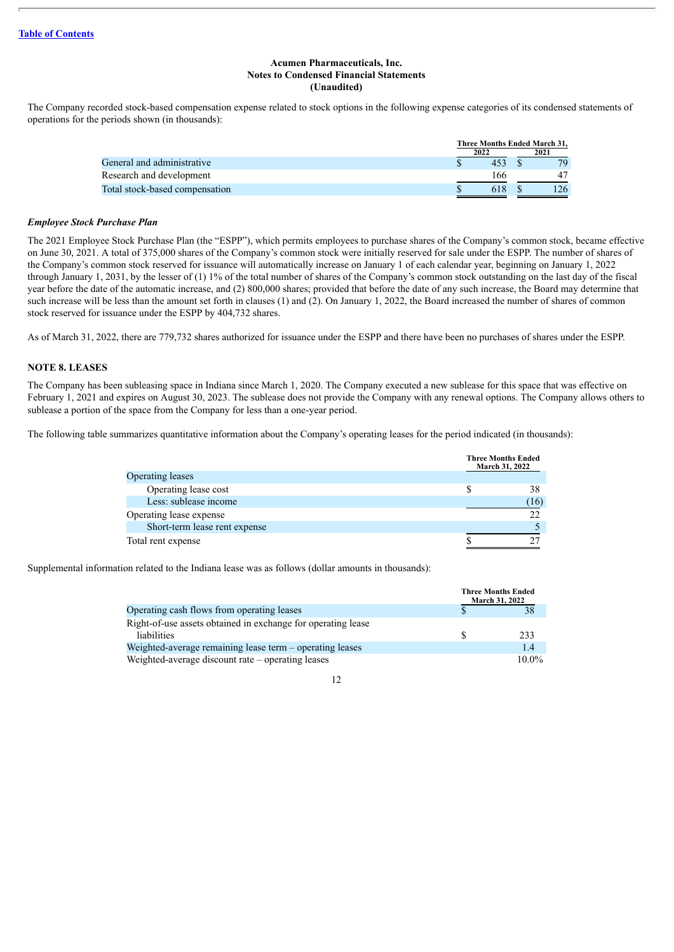The Company recorded stock-based compensation expense related to stock options in the following expense categories of its condensed statements of operations for the periods shown (in thousands):

| Three Months Ended March 31. |      |      |
|------------------------------|------|------|
|                              |      | 2021 |
|                              |      | 79   |
| 166                          |      | 47   |
| 618                          |      | 26   |
|                              | 2022 |      |

#### *Employee Stock Purchase Plan*

The 2021 Employee Stock Purchase Plan (the "ESPP"), which permits employees to purchase shares of the Company's common stock, became effective on June 30, 2021. A total of 375,000 shares of the Company's common stock were initially reserved for sale under the ESPP. The number of shares of the Company's common stock reserved for issuance will automatically increase on January 1 of each calendar year, beginning on January 1, 2022 through January 1, 2031, by the lesser of (1) 1% of the total number of shares of the Company's common stock outstanding on the last day of the fiscal year before the date of the automatic increase, and (2) 800,000 shares; provided that before the date of any such increase, the Board may determine that such increase will be less than the amount set forth in clauses (1) and (2). On January 1, 2022, the Board increased the number of shares of common stock reserved for issuance under the ESPP by 404,732 shares.

As of March 31, 2022, there are 779,732 shares authorized for issuance under the ESPP and there have been no purchases of shares under the ESPP.

#### **NOTE 8. LEASES**

The Company has been subleasing space in Indiana since March 1, 2020. The Company executed a new sublease for this space that was effective on February 1, 2021 and expires on August 30, 2023. The sublease does not provide the Company with any renewal options. The Company allows others to sublease a portion of the space from the Company for less than a one-year period.

The following table summarizes quantitative information about the Company's operating leases for the period indicated (in thousands):

|                               | <b>Three Months Ended</b><br><b>March 31, 2022</b> |  |
|-------------------------------|----------------------------------------------------|--|
| Operating leases              |                                                    |  |
| Operating lease cost          | 38                                                 |  |
| Less: sublease income         | (16)                                               |  |
| Operating lease expense       |                                                    |  |
| Short-term lease rent expense |                                                    |  |
| Total rent expense            |                                                    |  |

Supplemental information related to the Indiana lease was as follows (dollar amounts in thousands):

|                                                                                    | <b>Three Months Ended</b><br><b>March 31, 2022</b> |
|------------------------------------------------------------------------------------|----------------------------------------------------|
| Operating cash flows from operating leases                                         |                                                    |
| Right-of-use assets obtained in exchange for operating lease<br><i>liabilities</i> | 233                                                |
| Weighted-average remaining lease term - operating leases                           | 1.4                                                |
| Weighted-average discount rate – operating leases                                  | $10.0\%$                                           |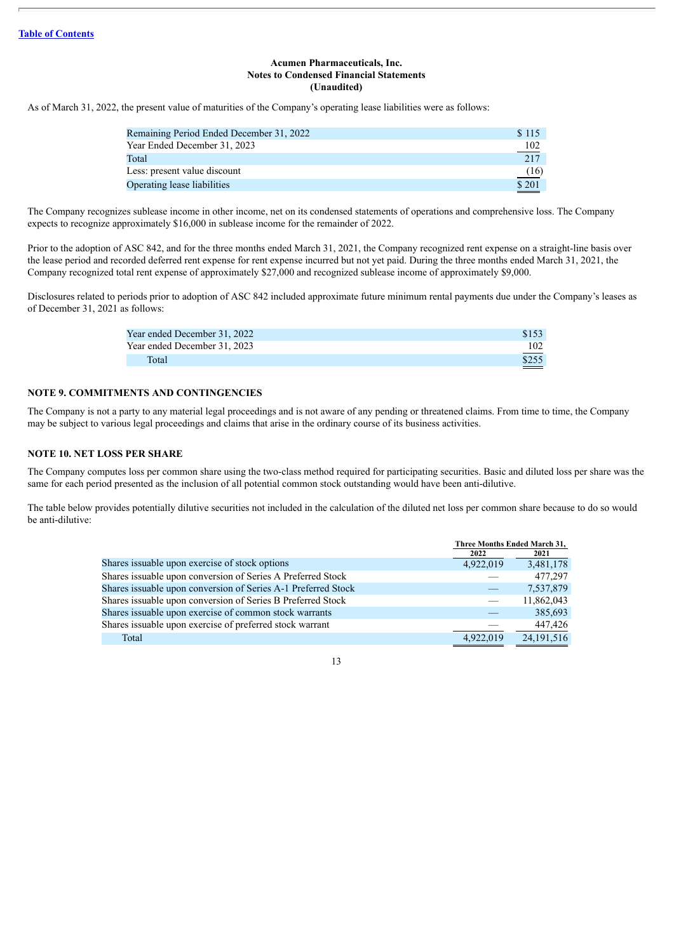As of March 31, 2022, the present value of maturities of the Company's operating lease liabilities were as follows:

| Remaining Period Ended December 31, 2022 | \$115 |
|------------------------------------------|-------|
| Year Ended December 31, 2023             | 102   |
| Total                                    | 217   |
| Less: present value discount             | (16)  |
| Operating lease liabilities              | \$201 |

The Company recognizes sublease income in other income, net on its condensed statements of operations and comprehensive loss. The Company expects to recognize approximately \$16,000 in sublease income for the remainder of 2022.

Prior to the adoption of ASC 842, and for the three months ended March 31, 2021, the Company recognized rent expense on a straight-line basis over the lease period and recorded deferred rent expense for rent expense incurred but not yet paid. During the three months ended March 31, 2021, the Company recognized total rent expense of approximately \$27,000 and recognized sublease income of approximately \$9,000.

Disclosures related to periods prior to adoption of ASC 842 included approximate future minimum rental payments due under the Company's leases as of December 31, 2021 as follows:

| Year ended December 31, 2022 | \$153                                  |
|------------------------------|----------------------------------------|
| Year ended December 31, 2023 | 102<br>the contract of the contract of |
| Total                        | \$255                                  |

#### **NOTE 9. COMMITMENTS AND CONTINGENCIES**

The Company is not a party to any material legal proceedings and is not aware of any pending or threatened claims. From time to time, the Company may be subject to various legal proceedings and claims that arise in the ordinary course of its business activities.

#### **NOTE 10. NET LOSS PER SHARE**

The Company computes loss per common share using the two-class method required for participating securities. Basic and diluted loss per share was the same for each period presented as the inclusion of all potential common stock outstanding would have been anti-dilutive.

The table below provides potentially dilutive securities not included in the calculation of the diluted net loss per common share because to do so would be anti-dilutive:

| Three Months Ended March 31, |              |
|------------------------------|--------------|
| 2022                         | 2021         |
| 4,922,019                    | 3,481,178    |
|                              | 477.297      |
|                              | 7,537,879    |
|                              | 11,862,043   |
|                              | 385,693      |
|                              | 447,426      |
| 4,922,019                    | 24, 191, 516 |
|                              |              |

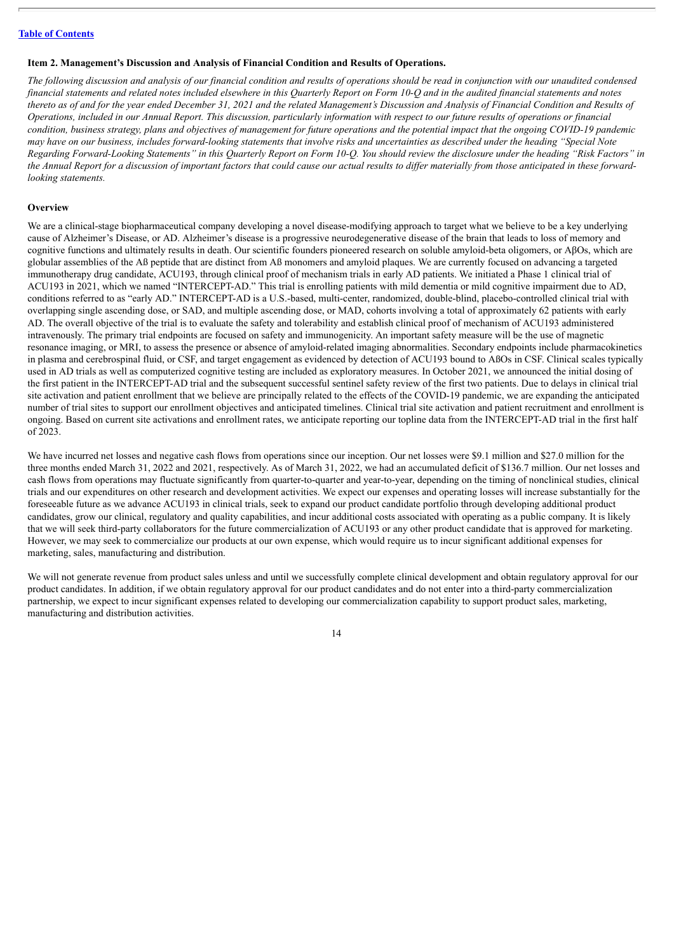#### <span id="page-16-0"></span>**Item 2. Management's Discussion and Analysis of Financial Condition and Results of Operations.**

The following discussion and analysis of our financial condition and results of operations should be read in conjunction with our unaudited condensed financial statements and related notes included elsewhere in this Quarterly Report on Form 10-Q and in the audited financial statements and notes thereto as of and for the vear ended December 31, 2021 and the related Management's Discussion and Analysis of Financial Condition and Results of Operations, included in our Annual Report. This discussion, particularly information with respect to our future results of operations or financial condition, business strategy, plans and objectives of management for future operations and the potential impact that the ongoing COVID-19 pandemic may have on our business, includes forward-looking statements that involve risks and uncertainties as described under the heading "Special Note Regarding Forward-Looking Statements" in this Quarterly Report on Form 10-Q. You should review the disclosure under the heading "Risk Factors" in the Annual Report for a discussion of important factors that could cause our actual results to differ materially from those anticipated in these forward*looking statements.*

#### **Overview**

We are a clinical-stage biopharmaceutical company developing a novel disease-modifying approach to target what we believe to be a key underlying cause of Alzheimer's Disease, or AD. Alzheimer's disease is a progressive neurodegenerative disease of the brain that leads to loss of memory and cognitive functions and ultimately results in death. Our scientific founders pioneered research on soluble amyloid-beta oligomers, or AβOs, which are globular assemblies of the Aß peptide that are distinct from Aß monomers and amyloid plaques. We are currently focused on advancing a targeted immunotherapy drug candidate, ACU193, through clinical proof of mechanism trials in early AD patients. We initiated a Phase 1 clinical trial of ACU193 in 2021, which we named "INTERCEPT-AD." This trial is enrolling patients with mild dementia or mild cognitive impairment due to AD, conditions referred to as "early AD." INTERCEPT-AD is a U.S.-based, multi-center, randomized, double-blind, placebo-controlled clinical trial with overlapping single ascending dose, or SAD, and multiple ascending dose, or MAD, cohorts involving a total of approximately 62 patients with early AD. The overall objective of the trial is to evaluate the safety and tolerability and establish clinical proof of mechanism of ACU193 administered intravenously. The primary trial endpoints are focused on safety and immunogenicity. An important safety measure will be the use of magnetic resonance imaging, or MRI, to assess the presence or absence of amyloid-related imaging abnormalities. Secondary endpoints include pharmacokinetics in plasma and cerebrospinal fluid, or CSF, and target engagement as evidenced by detection of ACU193 bound to AßOs in CSF. Clinical scales typically used in AD trials as well as computerized cognitive testing are included as exploratory measures. In October 2021, we announced the initial dosing of the first patient in the INTERCEPT-AD trial and the subsequent successful sentinel safety review of the first two patients. Due to delays in clinical trial site activation and patient enrollment that we believe are principally related to the effects of the COVID-19 pandemic, we are expanding the anticipated number of trial sites to support our enrollment objectives and anticipated timelines. Clinical trial site activation and patient recruitment and enrollment is ongoing. Based on current site activations and enrollment rates, we anticipate reporting our topline data from the INTERCEPT-AD trial in the first half of 2023.

We have incurred net losses and negative cash flows from operations since our inception. Our net losses were \$9.1 million and \$27.0 million for the three months ended March 31, 2022 and 2021, respectively. As of March 31, 2022, we had an accumulated deficit of \$136.7 million. Our net losses and cash flows from operations may fluctuate significantly from quarter-to-quarter and year-to-year, depending on the timing of nonclinical studies, clinical trials and our expenditures on other research and development activities. We expect our expenses and operating losses will increase substantially for the foreseeable future as we advance ACU193 in clinical trials, seek to expand our product candidate portfolio through developing additional product candidates, grow our clinical, regulatory and quality capabilities, and incur additional costs associated with operating as a public company. It is likely that we will seek third-party collaborators for the future commercialization of ACU193 or any other product candidate that is approved for marketing. However, we may seek to commercialize our products at our own expense, which would require us to incur significant additional expenses for marketing, sales, manufacturing and distribution.

We will not generate revenue from product sales unless and until we successfully complete clinical development and obtain regulatory approval for our product candidates. In addition, if we obtain regulatory approval for our product candidates and do not enter into a third-party commercialization partnership, we expect to incur significant expenses related to developing our commercialization capability to support product sales, marketing, manufacturing and distribution activities.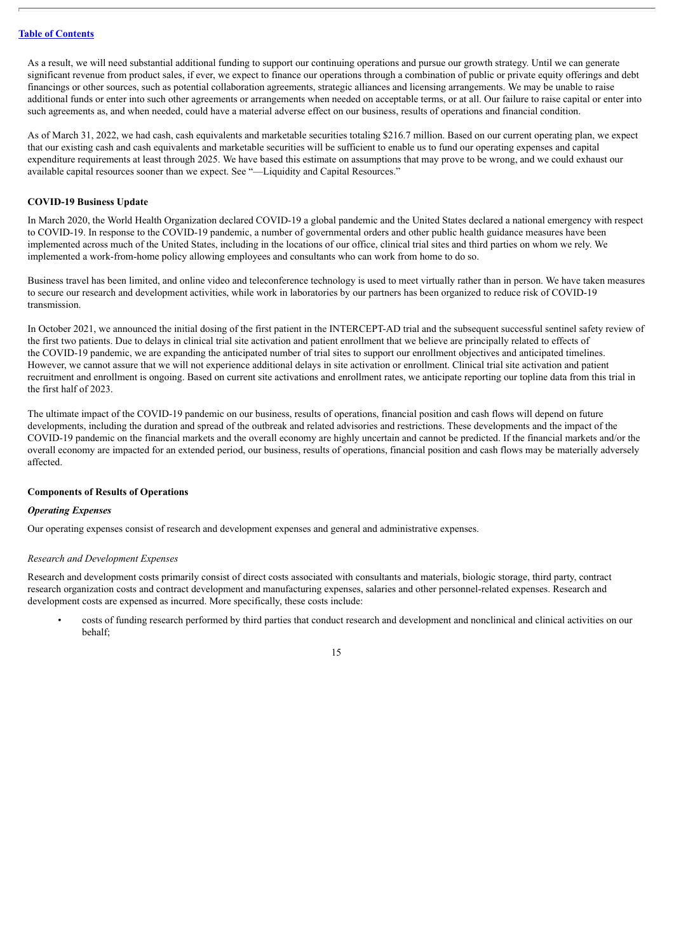As a result, we will need substantial additional funding to support our continuing operations and pursue our growth strategy. Until we can generate significant revenue from product sales, if ever, we expect to finance our operations through a combination of public or private equity offerings and debt financings or other sources, such as potential collaboration agreements, strategic alliances and licensing arrangements. We may be unable to raise additional funds or enter into such other agreements or arrangements when needed on acceptable terms, or at all. Our failure to raise capital or enter into such agreements as, and when needed, could have a material adverse effect on our business, results of operations and financial condition.

As of March 31, 2022, we had cash, cash equivalents and marketable securities totaling \$216.7 million. Based on our current operating plan, we expect that our existing cash and cash equivalents and marketable securities will be sufficient to enable us to fund our operating expenses and capital expenditure requirements at least through 2025. We have based this estimate on assumptions that may prove to be wrong, and we could exhaust our available capital resources sooner than we expect. See "—Liquidity and Capital Resources."

#### **COVID-19 Business Update**

In March 2020, the World Health Organization declared COVID-19 a global pandemic and the United States declared a national emergency with respect to COVID-19. In response to the COVID-19 pandemic, a number of governmental orders and other public health guidance measures have been implemented across much of the United States, including in the locations of our office, clinical trial sites and third parties on whom we rely. We implemented a work-from-home policy allowing employees and consultants who can work from home to do so.

Business travel has been limited, and online video and teleconference technology is used to meet virtually rather than in person. We have taken measures to secure our research and development activities, while work in laboratories by our partners has been organized to reduce risk of COVID-19 transmission.

In October 2021, we announced the initial dosing of the first patient in the INTERCEPT-AD trial and the subsequent successful sentinel safety review of the first two patients. Due to delays in clinical trial site activation and patient enrollment that we believe are principally related to effects of the COVID-19 pandemic, we are expanding the anticipated number of trial sites to support our enrollment objectives and anticipated timelines. However, we cannot assure that we will not experience additional delays in site activation or enrollment. Clinical trial site activation and patient recruitment and enrollment is ongoing. Based on current site activations and enrollment rates, we anticipate reporting our topline data from this trial in the first half of 2023.

The ultimate impact of the COVID-19 pandemic on our business, results of operations, financial position and cash flows will depend on future developments, including the duration and spread of the outbreak and related advisories and restrictions. These developments and the impact of the COVID-19 pandemic on the financial markets and the overall economy are highly uncertain and cannot be predicted. If the financial markets and/or the overall economy are impacted for an extended period, our business, results of operations, financial position and cash flows may be materially adversely affected.

#### **Components of Results of Operations**

#### *Operating Expenses*

Our operating expenses consist of research and development expenses and general and administrative expenses.

#### *Research and Development Expenses*

Research and development costs primarily consist of direct costs associated with consultants and materials, biologic storage, third party, contract research organization costs and contract development and manufacturing expenses, salaries and other personnel-related expenses. Research and development costs are expensed as incurred. More specifically, these costs include:

• costs of funding research performed by third parties that conduct research and development and nonclinical and clinical activities on our behalf;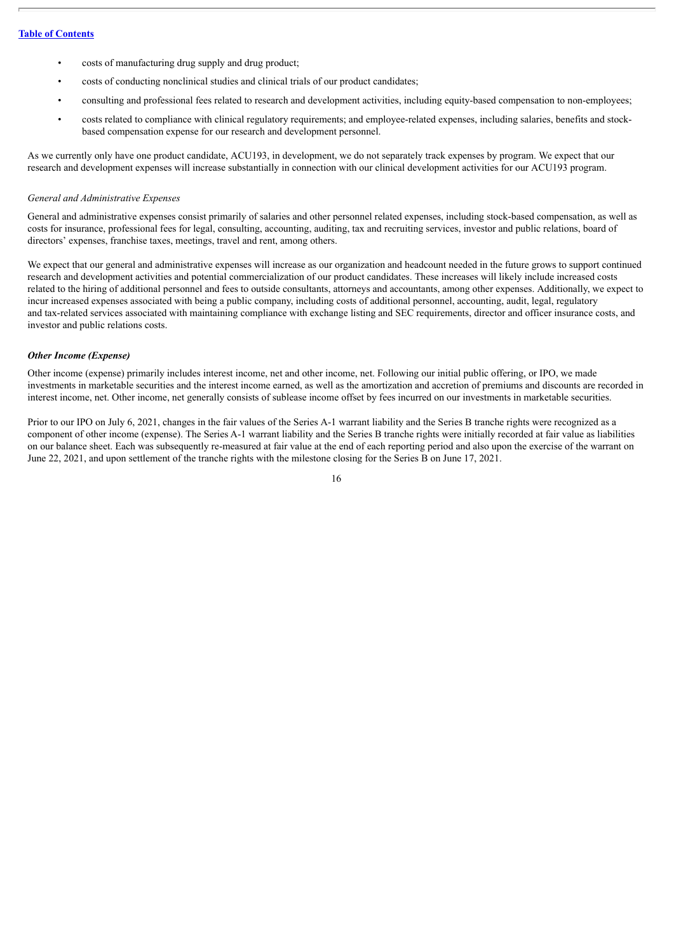- costs of manufacturing drug supply and drug product;
- costs of conducting nonclinical studies and clinical trials of our product candidates;
- consulting and professional fees related to research and development activities, including equity-based compensation to non-employees;
- costs related to compliance with clinical regulatory requirements; and employee-related expenses, including salaries, benefits and stockbased compensation expense for our research and development personnel.

As we currently only have one product candidate, ACU193, in development, we do not separately track expenses by program. We expect that our research and development expenses will increase substantially in connection with our clinical development activities for our ACU193 program.

#### *General and Administrative Expenses*

General and administrative expenses consist primarily of salaries and other personnel related expenses, including stock-based compensation, as well as costs for insurance, professional fees for legal, consulting, accounting, auditing, tax and recruiting services, investor and public relations, board of directors' expenses, franchise taxes, meetings, travel and rent, among others.

We expect that our general and administrative expenses will increase as our organization and headcount needed in the future grows to support continued research and development activities and potential commercialization of our product candidates. These increases will likely include increased costs related to the hiring of additional personnel and fees to outside consultants, attorneys and accountants, among other expenses. Additionally, we expect to incur increased expenses associated with being a public company, including costs of additional personnel, accounting, audit, legal, regulatory and tax-related services associated with maintaining compliance with exchange listing and SEC requirements, director and officer insurance costs, and investor and public relations costs.

#### *Other Income (Expense)*

Other income (expense) primarily includes interest income, net and other income, net. Following our initial public offering, or IPO, we made investments in marketable securities and the interest income earned, as well as the amortization and accretion of premiums and discounts are recorded in interest income, net. Other income, net generally consists of sublease income offset by fees incurred on our investments in marketable securities.

Prior to our IPO on July 6, 2021, changes in the fair values of the Series A-1 warrant liability and the Series B tranche rights were recognized as a component of other income (expense). The Series A-1 warrant liability and the Series B tranche rights were initially recorded at fair value as liabilities on our balance sheet. Each was subsequently re-measured at fair value at the end of each reporting period and also upon the exercise of the warrant on June 22, 2021, and upon settlement of the tranche rights with the milestone closing for the Series B on June 17, 2021.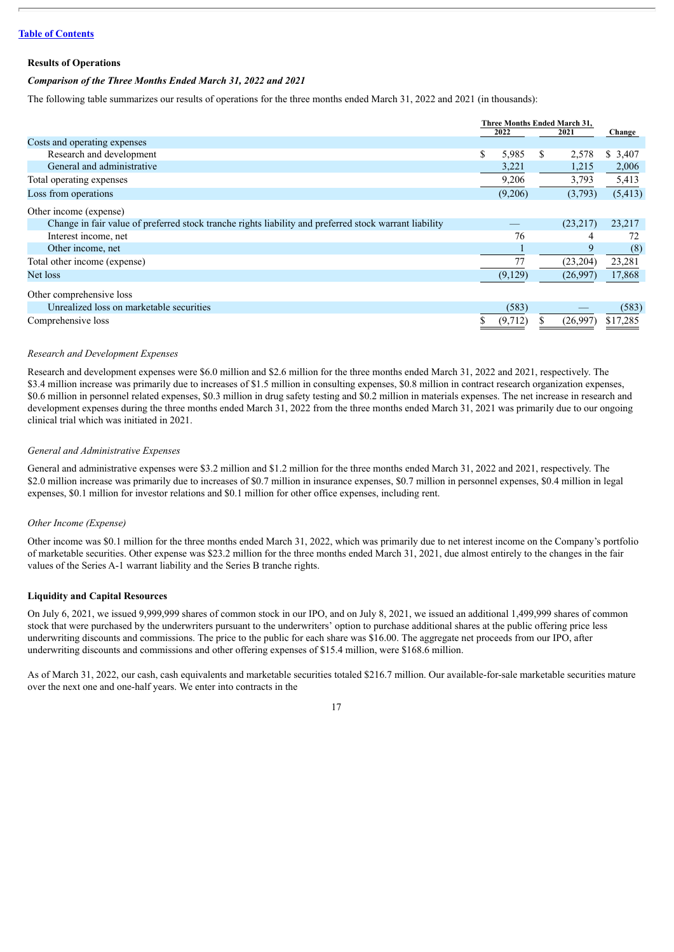#### **Results of Operations**

#### *Comparison of the Three Months Ended March 31, 2022 and 2021*

The following table summarizes our results of operations for the three months ended March 31, 2022 and 2021 (in thousands):

|                                                                                                        | Three Months Ended March 31, |          |     |           |          |
|--------------------------------------------------------------------------------------------------------|------------------------------|----------|-----|-----------|----------|
| Costs and operating expenses                                                                           |                              | 2022     |     | 2021      | Change   |
| Research and development                                                                               | \$                           | 5,985    | \$. | 2,578     | \$3,407  |
| General and administrative                                                                             |                              | 3,221    |     | 1,215     | 2,006    |
| Total operating expenses                                                                               |                              | 9,206    |     | 3,793     | 5,413    |
| Loss from operations                                                                                   |                              | (9,206)  |     | (3,793)   | (5, 413) |
| Other income (expense)                                                                                 |                              |          |     |           |          |
| Change in fair value of preferred stock tranche rights liability and preferred stock warrant liability |                              |          |     | (23,217)  | 23,217   |
| Interest income, net                                                                                   |                              | 76       |     | 4         | 72       |
| Other income, net                                                                                      |                              |          |     | 9         | (8)      |
| Total other income (expense)                                                                           |                              | 77       |     | (23, 204) | 23,281   |
| Net loss                                                                                               |                              | (9,129)  |     | (26,997)  | 17,868   |
| Other comprehensive loss                                                                               |                              |          |     |           |          |
| Unrealized loss on marketable securities                                                               |                              | (583)    |     |           | (583)    |
| Comprehensive loss                                                                                     |                              | (9, 712) |     | (26,997)  | \$17,285 |

#### *Research and Development Expenses*

Research and development expenses were \$6.0 million and \$2.6 million for the three months ended March 31, 2022 and 2021, respectively. The \$3.4 million increase was primarily due to increases of \$1.5 million in consulting expenses, \$0.8 million in contract research organization expenses, \$0.6 million in personnel related expenses, \$0.3 million in drug safety testing and \$0.2 million in materials expenses. The net increase in research and development expenses during the three months ended March 31, 2022 from the three months ended March 31, 2021 was primarily due to our ongoing clinical trial which was initiated in 2021.

## *General and Administrative Expenses*

General and administrative expenses were \$3.2 million and \$1.2 million for the three months ended March 31, 2022 and 2021, respectively. The \$2.0 million increase was primarily due to increases of \$0.7 million in insurance expenses, \$0.7 million in personnel expenses, \$0.4 million in legal expenses, \$0.1 million for investor relations and \$0.1 million for other office expenses, including rent.

#### *Other Income (Expense)*

Other income was \$0.1 million for the three months ended March 31, 2022, which was primarily due to net interest income on the Company's portfolio of marketable securities. Other expense was \$23.2 million for the three months ended March 31, 2021, due almost entirely to the changes in the fair values of the Series A-1 warrant liability and the Series B tranche rights.

#### **Liquidity and Capital Resources**

On July 6, 2021, we issued 9,999,999 shares of common stock in our IPO, and on July 8, 2021, we issued an additional 1,499,999 shares of common stock that were purchased by the underwriters pursuant to the underwriters' option to purchase additional shares at the public offering price less underwriting discounts and commissions. The price to the public for each share was \$16.00. The aggregate net proceeds from our IPO, after underwriting discounts and commissions and other offering expenses of \$15.4 million, were \$168.6 million.

As of March 31, 2022, our cash, cash equivalents and marketable securities totaled \$216.7 million. Our available-for-sale marketable securities mature over the next one and one-half years. We enter into contracts in the

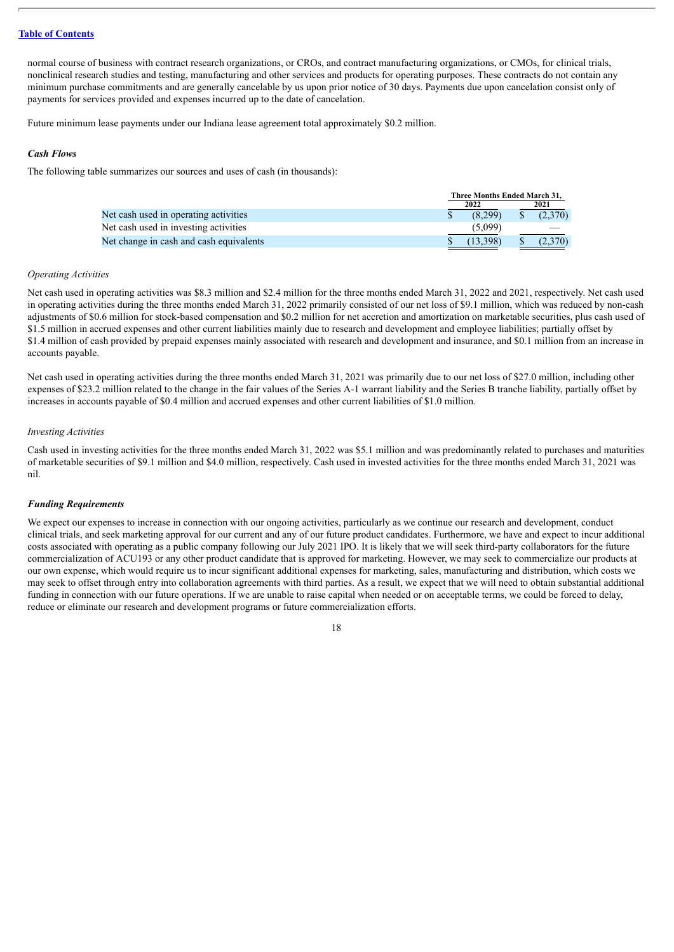normal course of business with contract research organizations, or CROs, and contract manufacturing organizations, or CMOs, for clinical trials, nonclinical research studies and testing, manufacturing and other services and products for operating purposes. These contracts do not contain any minimum purchase commitments and are generally cancelable by us upon prior notice of 30 days. Payments due upon cancelation consist only of payments for services provided and expenses incurred up to the date of cancelation.

Future minimum lease payments under our Indiana lease agreement total approximately \$0.2 million.

#### *Cash Flows*

The following table summarizes our sources and uses of cash (in thousands):

|                                         | Three Months Ended March 31. |          |  |         |
|-----------------------------------------|------------------------------|----------|--|---------|
|                                         |                              | 2022     |  | 2021    |
| Net cash used in operating activities   |                              | (8.299)  |  | (2.370) |
| Net cash used in investing activities   |                              | (5,099)  |  |         |
| Net change in cash and cash equivalents |                              | (13.398) |  | (2.370) |

#### *Operating Activities*

Net cash used in operating activities was \$8.3 million and \$2.4 million for the three months ended March 31, 2022 and 2021, respectively. Net cash used in operating activities during the three months ended March 31, 2022 primarily consisted of our net loss of \$9.1 million, which was reduced by non-cash adjustments of \$0.6 million for stock-based compensation and \$0.2 million for net accretion and amortization on marketable securities, plus cash used of \$1.5 million in accrued expenses and other current liabilities mainly due to research and development and employee liabilities; partially offset by \$1.4 million of cash provided by prepaid expenses mainly associated with research and development and insurance, and \$0.1 million from an increase in accounts payable.

Net cash used in operating activities during the three months ended March 31, 2021 was primarily due to our net loss of \$27.0 million, including other expenses of \$23.2 million related to the change in the fair values of the Series A-1 warrant liability and the Series B tranche liability, partially offset by increases in accounts payable of \$0.4 million and accrued expenses and other current liabilities of \$1.0 million.

#### *Investing Activities*

Cash used in investing activities for the three months ended March 31, 2022 was \$5.1 million and was predominantly related to purchases and maturities of marketable securities of \$9.1 million and \$4.0 million, respectively. Cash used in invested activities for the three months ended March 31, 2021 was nil.

#### *Funding Requirements*

We expect our expenses to increase in connection with our ongoing activities, particularly as we continue our research and development, conduct clinical trials, and seek marketing approval for our current and any of our future product candidates. Furthermore, we have and expect to incur additional costs associated with operating as a public company following our July 2021 IPO. It is likely that we will seek third-party collaborators for the future commercialization of ACU193 or any other product candidate that is approved for marketing. However, we may seek to commercialize our products at our own expense, which would require us to incur significant additional expenses for marketing, sales, manufacturing and distribution, which costs we may seek to offset through entry into collaboration agreements with third parties. As a result, we expect that we will need to obtain substantial additional funding in connection with our future operations. If we are unable to raise capital when needed or on acceptable terms, we could be forced to delay, reduce or eliminate our research and development programs or future commercialization efforts.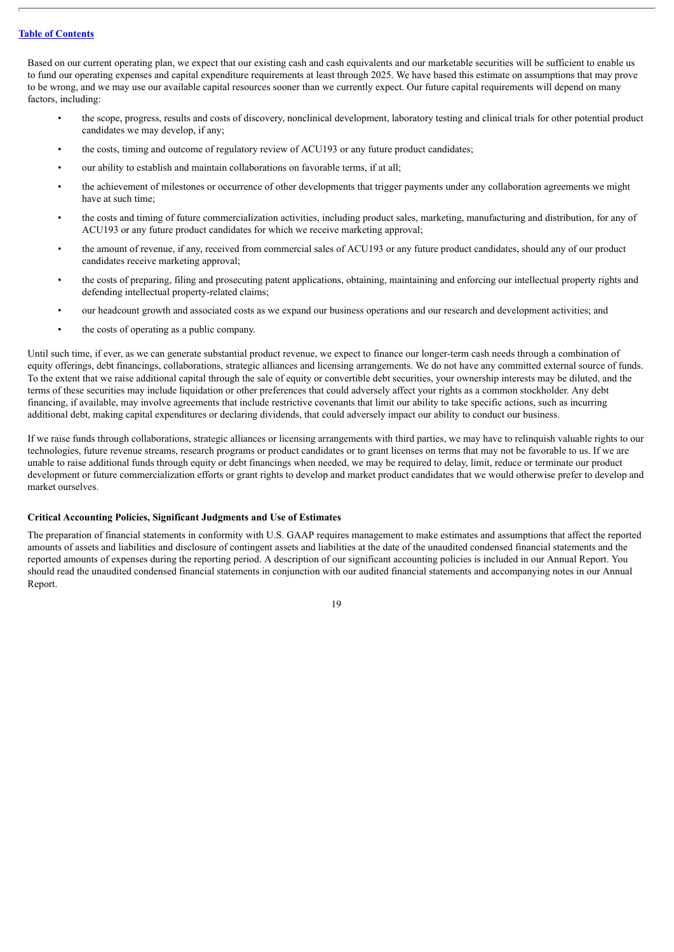Based on our current operating plan, we expect that our existing cash and cash equivalents and our marketable securities will be sufficient to enable us to fund our operating expenses and capital expenditure requirements at least through 2025. We have based this estimate on assumptions that may prove to be wrong, and we may use our available capital resources sooner than we currently expect. Our future capital requirements will depend on many factors, including:

- the scope, progress, results and costs of discovery, nonclinical development, laboratory testing and clinical trials for other potential product candidates we may develop, if any;
- the costs, timing and outcome of regulatory review of ACU193 or any future product candidates;
- our ability to establish and maintain collaborations on favorable terms, if at all;
- the achievement of milestones or occurrence of other developments that trigger payments under any collaboration agreements we might have at such time;
- the costs and timing of future commercialization activities, including product sales, marketing, manufacturing and distribution, for any of ACU193 or any future product candidates for which we receive marketing approval;
- the amount of revenue, if any, received from commercial sales of ACU193 or any future product candidates, should any of our product candidates receive marketing approval;
- the costs of preparing, filing and prosecuting patent applications, obtaining, maintaining and enforcing our intellectual property rights and defending intellectual property-related claims;
- our headcount growth and associated costs as we expand our business operations and our research and development activities; and
- the costs of operating as a public company.

Until such time, if ever, as we can generate substantial product revenue, we expect to finance our longer-term cash needs through a combination of equity offerings, debt financings, collaborations, strategic alliances and licensing arrangements. We do not have any committed external source of funds. To the extent that we raise additional capital through the sale of equity or convertible debt securities, your ownership interests may be diluted, and the terms of these securities may include liquidation or other preferences that could adversely affect your rights as a common stockholder. Any debt financing, if available, may involve agreements that include restrictive covenants that limit our ability to take specific actions, such as incurring additional debt, making capital expenditures or declaring dividends, that could adversely impact our ability to conduct our business.

If we raise funds through collaborations, strategic alliances or licensing arrangements with third parties, we may have to relinquish valuable rights to our technologies, future revenue streams, research programs or product candidates or to grant licenses on terms that may not be favorable to us. If we are unable to raise additional funds through equity or debt financings when needed, we may be required to delay, limit, reduce or terminate our product development or future commercialization efforts or grant rights to develop and market product candidates that we would otherwise prefer to develop and market ourselves.

#### **Critical Accounting Policies, Significant Judgments and Use of Estimates**

The preparation of financial statements in conformity with U.S. GAAP requires management to make estimates and assumptions that affect the reported amounts of assets and liabilities and disclosure of contingent assets and liabilities at the date of the unaudited condensed financial statements and the reported amounts of expenses during the reporting period. A description of our significant accounting policies is included in our Annual Report. You should read the unaudited condensed financial statements in conjunction with our audited financial statements and accompanying notes in our Annual Report.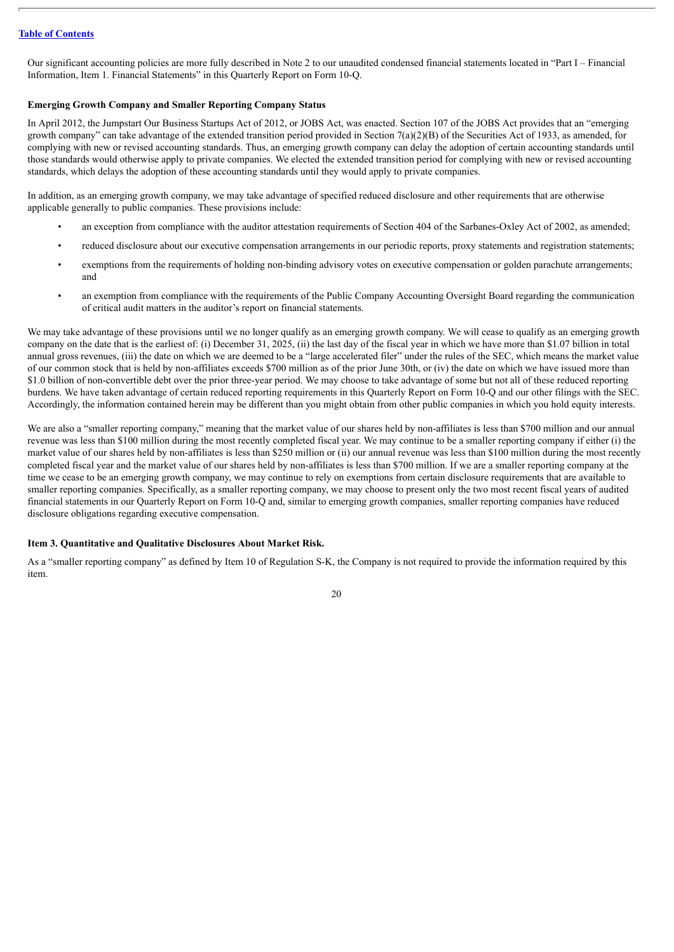Our significant accounting policies are more fully described in Note 2 to our unaudited condensed financial statements located in "Part I – Financial Information, Item 1. Financial Statements" in this Quarterly Report on Form 10-Q.

#### **Emerging Growth Company and Smaller Reporting Company Status**

In April 2012, the Jumpstart Our Business Startups Act of 2012, or JOBS Act, was enacted. Section 107 of the JOBS Act provides that an "emerging growth company" can take advantage of the extended transition period provided in Section 7(a)(2)(B) of the Securities Act of 1933, as amended, for complying with new or revised accounting standards. Thus, an emerging growth company can delay the adoption of certain accounting standards until those standards would otherwise apply to private companies. We elected the extended transition period for complying with new or revised accounting standards, which delays the adoption of these accounting standards until they would apply to private companies.

In addition, as an emerging growth company, we may take advantage of specified reduced disclosure and other requirements that are otherwise applicable generally to public companies. These provisions include:

- an exception from compliance with the auditor attestation requirements of Section 404 of the Sarbanes-Oxley Act of 2002, as amended;
- reduced disclosure about our executive compensation arrangements in our periodic reports, proxy statements and registration statements;
- exemptions from the requirements of holding non-binding advisory votes on executive compensation or golden parachute arrangements; and
- an exemption from compliance with the requirements of the Public Company Accounting Oversight Board regarding the communication of critical audit matters in the auditor's report on financial statements.

We may take advantage of these provisions until we no longer qualify as an emerging growth company. We will cease to qualify as an emerging growth company on the date that is the earliest of: (i) December 31, 2025, (ii) the last day of the fiscal year in which we have more than \$1.07 billion in total annual gross revenues, (iii) the date on which we are deemed to be a "large accelerated filer" under the rules of the SEC, which means the market value of our common stock that is held by non-affiliates exceeds \$700 million as of the prior June 30th, or (iv) the date on which we have issued more than \$1.0 billion of non-convertible debt over the prior three-year period. We may choose to take advantage of some but not all of these reduced reporting burdens. We have taken advantage of certain reduced reporting requirements in this Quarterly Report on Form 10-Q and our other filings with the SEC. Accordingly, the information contained herein may be different than you might obtain from other public companies in which you hold equity interests.

We are also a "smaller reporting company," meaning that the market value of our shares held by non-affiliates is less than \$700 million and our annual revenue was less than \$100 million during the most recently completed fiscal year. We may continue to be a smaller reporting company if either (i) the market value of our shares held by non-affiliates is less than \$250 million or (ii) our annual revenue was less than \$100 million during the most recently completed fiscal year and the market value of our shares held by non-affiliates is less than \$700 million. If we are a smaller reporting company at the time we cease to be an emerging growth company, we may continue to rely on exemptions from certain disclosure requirements that are available to smaller reporting companies. Specifically, as a smaller reporting company, we may choose to present only the two most recent fiscal years of audited financial statements in our Quarterly Report on Form 10-Q and, similar to emerging growth companies, smaller reporting companies have reduced disclosure obligations regarding executive compensation.

#### <span id="page-22-0"></span>**Item 3. Quantitative and Qualitative Disclosures About Market Risk.**

As a "smaller reporting company" as defined by Item 10 of Regulation S-K, the Company is not required to provide the information required by this item.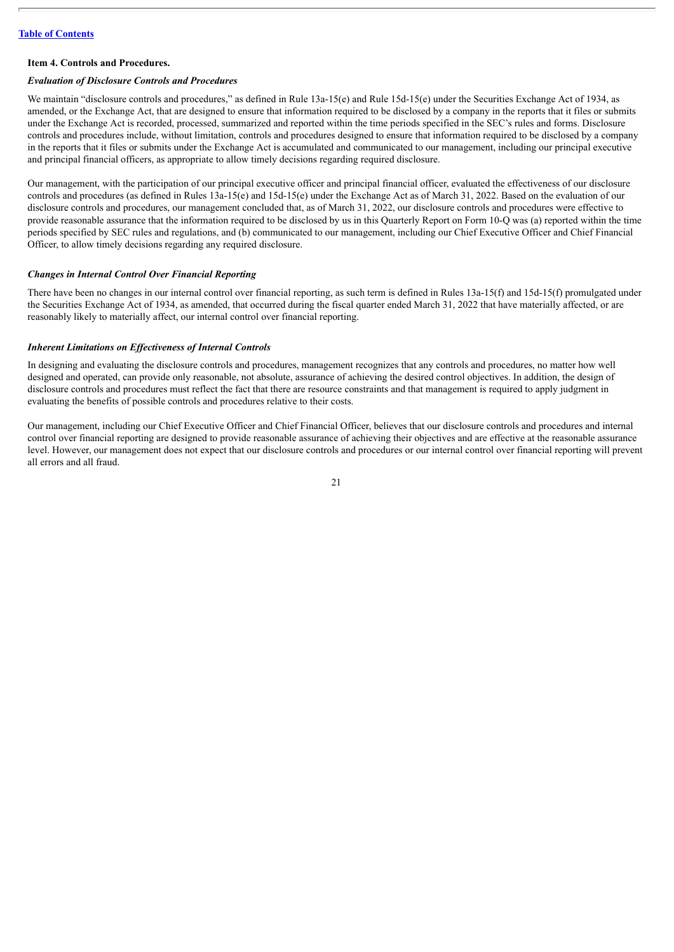#### <span id="page-23-0"></span>**Item 4. Controls and Procedures.**

## *Evaluation of Disclosure Controls and Procedures*

We maintain "disclosure controls and procedures," as defined in Rule 13a-15(e) and Rule 15d-15(e) under the Securities Exchange Act of 1934, as amended, or the Exchange Act, that are designed to ensure that information required to be disclosed by a company in the reports that it files or submits under the Exchange Act is recorded, processed, summarized and reported within the time periods specified in the SEC's rules and forms. Disclosure controls and procedures include, without limitation, controls and procedures designed to ensure that information required to be disclosed by a company in the reports that it files or submits under the Exchange Act is accumulated and communicated to our management, including our principal executive and principal financial officers, as appropriate to allow timely decisions regarding required disclosure.

Our management, with the participation of our principal executive officer and principal financial officer, evaluated the effectiveness of our disclosure controls and procedures (as defined in Rules 13a-15(e) and 15d-15(e) under the Exchange Act as of March 31, 2022. Based on the evaluation of our disclosure controls and procedures, our management concluded that, as of March 31, 2022, our disclosure controls and procedures were effective to provide reasonable assurance that the information required to be disclosed by us in this Quarterly Report on Form 10-Q was (a) reported within the time periods specified by SEC rules and regulations, and (b) communicated to our management, including our Chief Executive Officer and Chief Financial Officer, to allow timely decisions regarding any required disclosure.

#### *Changes in Internal Control Over Financial Reporting*

There have been no changes in our internal control over financial reporting, as such term is defined in Rules 13a-15(f) and 15d-15(f) promulgated under the Securities Exchange Act of 1934, as amended, that occurred during the fiscal quarter ended March 31, 2022 that have materially affected, or are reasonably likely to materially affect, our internal control over financial reporting.

#### *Inherent Limitations on Ef ectiveness of Internal Controls*

In designing and evaluating the disclosure controls and procedures, management recognizes that any controls and procedures, no matter how well designed and operated, can provide only reasonable, not absolute, assurance of achieving the desired control objectives. In addition, the design of disclosure controls and procedures must reflect the fact that there are resource constraints and that management is required to apply judgment in evaluating the benefits of possible controls and procedures relative to their costs.

Our management, including our Chief Executive Officer and Chief Financial Officer, believes that our disclosure controls and procedures and internal control over financial reporting are designed to provide reasonable assurance of achieving their objectives and are effective at the reasonable assurance level. However, our management does not expect that our disclosure controls and procedures or our internal control over financial reporting will prevent all errors and all fraud.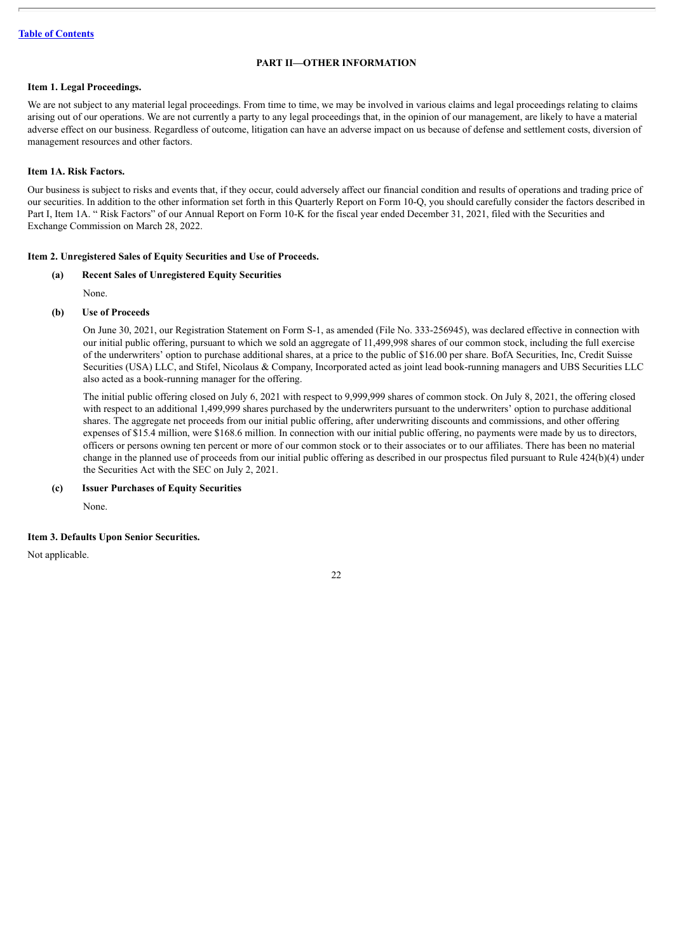## **PART II—OTHER INFORMATION**

#### <span id="page-24-1"></span><span id="page-24-0"></span>**Item 1. Legal Proceedings.**

We are not subject to any material legal proceedings. From time to time, we may be involved in various claims and legal proceedings relating to claims arising out of our operations. We are not currently a party to any legal proceedings that, in the opinion of our management, are likely to have a material adverse effect on our business. Regardless of outcome, litigation can have an adverse impact on us because of defense and settlement costs, diversion of management resources and other factors.

#### <span id="page-24-2"></span>**Item 1A. Risk Factors.**

Our business is subject to risks and events that, if they occur, could adversely affect our financial condition and results of operations and trading price of our securities. In addition to the other information set forth in this Quarterly Report on Form 10-Q, you should carefully consider the factors described in Part I, Item 1A. "Risk Factors" of our Annual Report on Form 10-K for the fiscal year ended December 31, 2021, filed with the Securities and Exchange Commission on March 28, 2022.

#### <span id="page-24-3"></span>**Item 2. Unregistered Sales of Equity Securities and Use of Proceeds.**

#### **(a) Recent Sales of Unregistered Equity Securities**

None.

#### **(b) Use of Proceeds**

On June 30, 2021, our Registration Statement on Form S-1, as amended (File No. 333-256945), was declared effective in connection with our initial public offering, pursuant to which we sold an aggregate of 11,499,998 shares of our common stock, including the full exercise of the underwriters' option to purchase additional shares, at a price to the public of \$16.00 per share. BofA Securities, Inc, Credit Suisse Securities (USA) LLC, and Stifel, Nicolaus & Company, Incorporated acted as joint lead book-running managers and UBS Securities LLC also acted as a book-running manager for the offering.

The initial public offering closed on July 6, 2021 with respect to 9,999,999 shares of common stock. On July 8, 2021, the offering closed with respect to an additional 1,499,999 shares purchased by the underwriters pursuant to the underwriters' option to purchase additional shares. The aggregate net proceeds from our initial public offering, after underwriting discounts and commissions, and other offering expenses of \$15.4 million, were \$168.6 million. In connection with our initial public offering, no payments were made by us to directors, officers or persons owning ten percent or more of our common stock or to their associates or to our affiliates. There has been no material change in the planned use of proceeds from our initial public offering as described in our prospectus filed pursuant to Rule 424(b)(4) under the Securities Act with the SEC on July 2, 2021.

#### **(c) Issuer Purchases of Equity Securities**

None.

#### <span id="page-24-4"></span>**Item 3. Defaults Upon Senior Securities.**

Not applicable.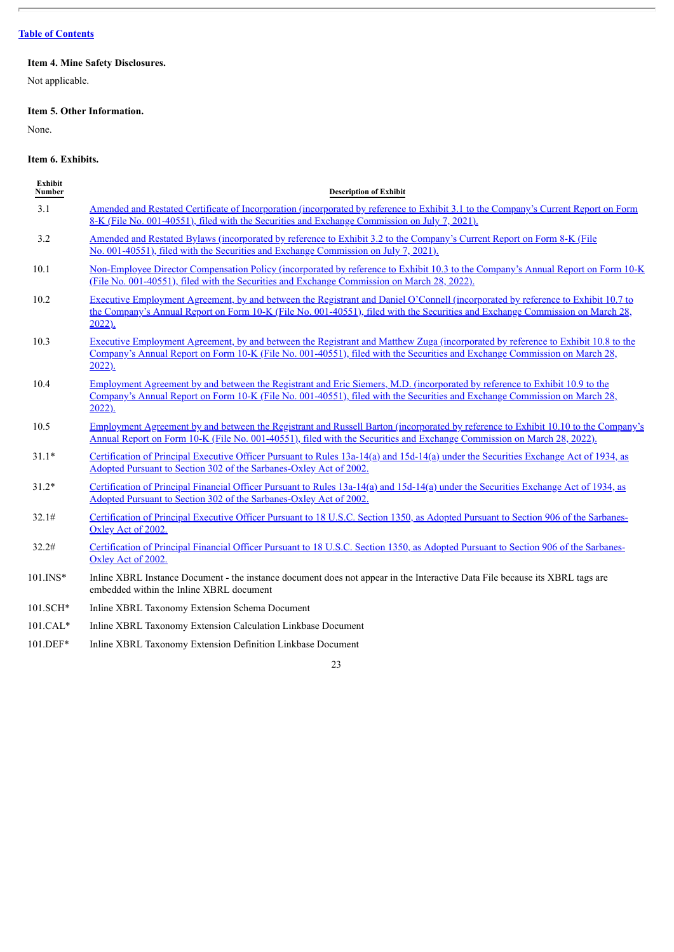ŀ.

## <span id="page-25-0"></span>**Item 4. Mine Safety Disclosures.**

Not applicable.

## <span id="page-25-1"></span>**Item 5. Other Information.**

None.

## <span id="page-25-2"></span>**Item 6. Exhibits.**

| Exhibit<br>Number | <b>Description of Exhibit</b>                                                                                                                                                                                                                                                  |
|-------------------|--------------------------------------------------------------------------------------------------------------------------------------------------------------------------------------------------------------------------------------------------------------------------------|
| 3.1               | Amended and Restated Certificate of Incorporation (incorporated by reference to Exhibit 3.1 to the Company's Current Report on Form<br>8-K (File No. 001-40551), filed with the Securities and Exchange Commission on July 7, 2021).                                           |
| 3.2               | Amended and Restated Bylaws (incorporated by reference to Exhibit 3.2 to the Company's Current Report on Form 8-K (File<br>No. 001-40551), filed with the Securities and Exchange Commission on July 7, 2021).                                                                 |
| 10.1              | Non-Employee Director Compensation Policy (incorporated by reference to Exhibit 10.3 to the Company's Annual Report on Form 10-K<br>(File No. 001-40551), filed with the Securities and Exchange Commission on March 28, 2022).                                                |
| 10.2              | Executive Employment Agreement, by and between the Registrant and Daniel O'Connell (incorporated by reference to Exhibit 10.7 to<br>the Company's Annual Report on Form 10-K (File No. 001-40551), filed with the Securities and Exchange Commission on March 28,<br>$2022$ ). |
| 10.3              | Executive Employment Agreement, by and between the Registrant and Matthew Zuga (incorporated by reference to Exhibit 10.8 to the<br>Company's Annual Report on Form 10-K (File No. 001-40551), filed with the Securities and Exchange Commission on March 28,<br>$2022$ ).     |
| 10.4              | Employment Agreement by and between the Registrant and Eric Siemers, M.D. (incorporated by reference to Exhibit 10.9 to the<br>Company's Annual Report on Form 10-K (File No. 001-40551), filed with the Securities and Exchange Commission on March 28,<br>$2022$ ).          |
| 10.5              | Employment Agreement by and between the Registrant and Russell Barton (incorporated by reference to Exhibit 10.10 to the Company's<br>Annual Report on Form 10-K (File No. 001-40551), filed with the Securities and Exchange Commission on March 28, 2022).                   |
| $31.1*$           | Certification of Principal Executive Officer Pursuant to Rules 13a-14(a) and 15d-14(a) under the Securities Exchange Act of 1934, as<br>Adopted Pursuant to Section 302 of the Sarbanes-Oxley Act of 2002.                                                                     |
| $31.2*$           | Certification of Principal Financial Officer Pursuant to Rules 13a-14(a) and 15d-14(a) under the Securities Exchange Act of 1934, as<br>Adopted Pursuant to Section 302 of the Sarbanes-Oxley Act of 2002.                                                                     |
| 32.1#             | Certification of Principal Executive Officer Pursuant to 18 U.S.C. Section 1350, as Adopted Pursuant to Section 906 of the Sarbanes-<br>Oxley Act of 2002.                                                                                                                     |
| 32.2#             | Certification of Principal Financial Officer Pursuant to 18 U.S.C. Section 1350, as Adopted Pursuant to Section 906 of the Sarbanes-<br>Oxley Act of 2002.                                                                                                                     |
| 101.INS*          | Inline XBRL Instance Document - the instance document does not appear in the Interactive Data File because its XBRL tags are<br>embedded within the Inline XBRL document                                                                                                       |
| 101.SCH*          | Inline XBRL Taxonomy Extension Schema Document                                                                                                                                                                                                                                 |
| 101.CAL*          | Inline XBRL Taxonomy Extension Calculation Linkbase Document                                                                                                                                                                                                                   |

101.DEF\* Inline XBRL Taxonomy Extension Definition Linkbase Document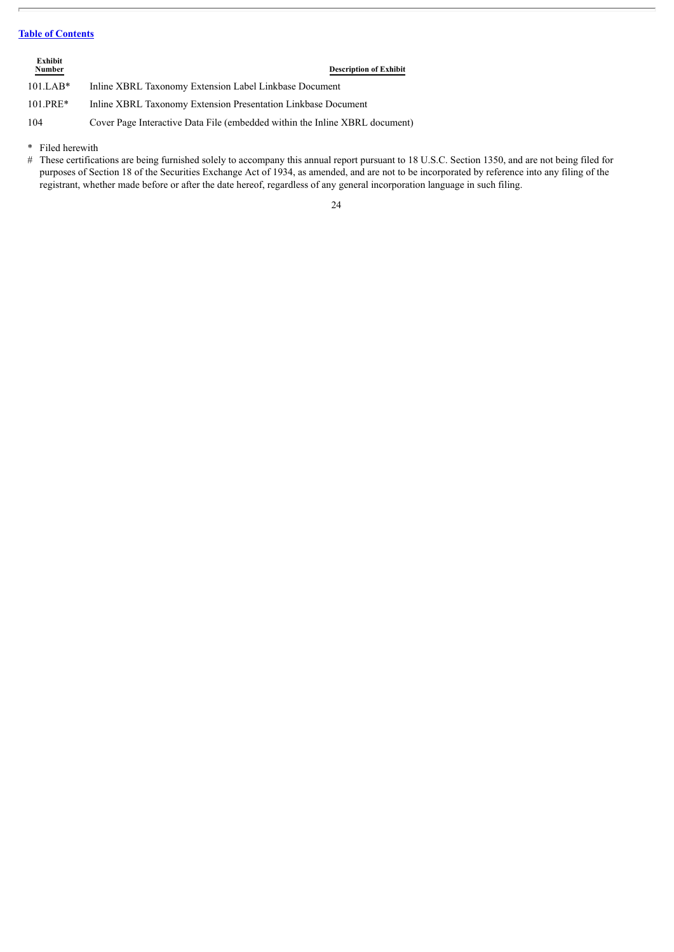| Exhibit<br>Number | <b>Description of Exhibit</b>                                               |
|-------------------|-----------------------------------------------------------------------------|
| $101.LAB*$        | Inline XBRL Taxonomy Extension Label Linkbase Document                      |
| $101.PRE*$        | Inline XBRL Taxonomy Extension Presentation Linkbase Document               |
| 104               | Cover Page Interactive Data File (embedded within the Inline XBRL document) |

\* Filed herewith

# These certifications are being furnished solely to accompany this annual report pursuant to 18 U.S.C. Section 1350, and are not being filed for purposes of Section 18 of the Securities Exchange Act of 1934, as amended, and are not to be incorporated by reference into any filing of the registrant, whether made before or after the date hereof, regardless of any general incorporation language in such filing.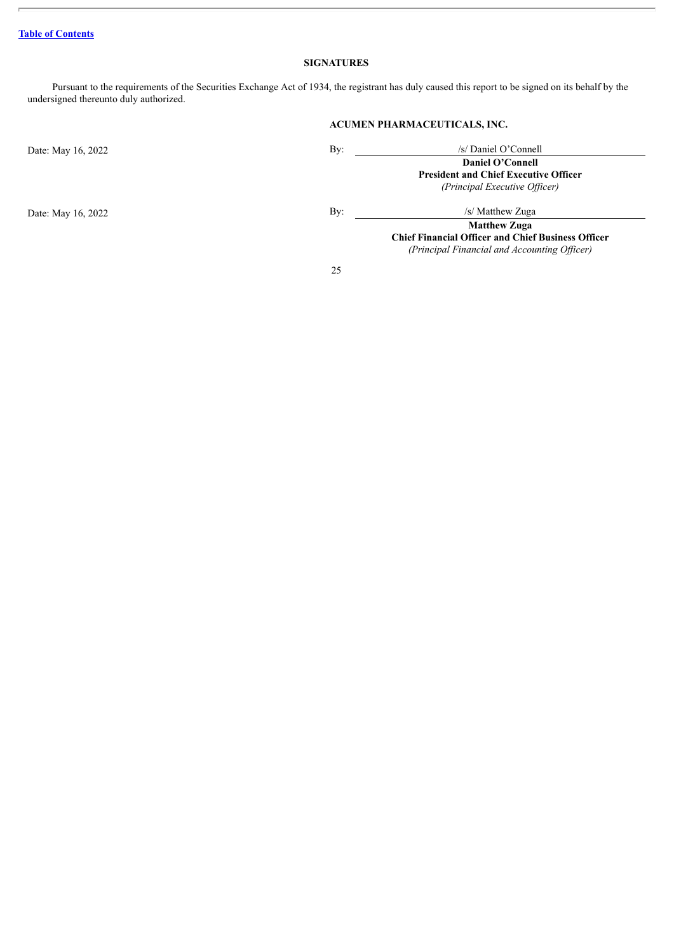## **SIGNATURES**

<span id="page-27-0"></span>Pursuant to the requirements of the Securities Exchange Act of 1934, the registrant has duly caused this report to be signed on its behalf by the undersigned thereunto duly authorized.

## **ACUMEN PHARMACEUTICALS, INC.**

| Date: May 16, 2022 | By: | /s/ Daniel O'Connell                                      |
|--------------------|-----|-----------------------------------------------------------|
|                    |     | Daniel O'Connell                                          |
|                    |     | <b>President and Chief Executive Officer</b>              |
|                    |     | (Principal Executive Officer)                             |
| Date: May 16, 2022 | By: | /s/ Matthew Zuga                                          |
|                    |     | <b>Matthew Zuga</b>                                       |
|                    |     | <b>Chief Financial Officer and Chief Business Officer</b> |
|                    |     | (Principal Financial and Accounting Officer)              |
|                    |     |                                                           |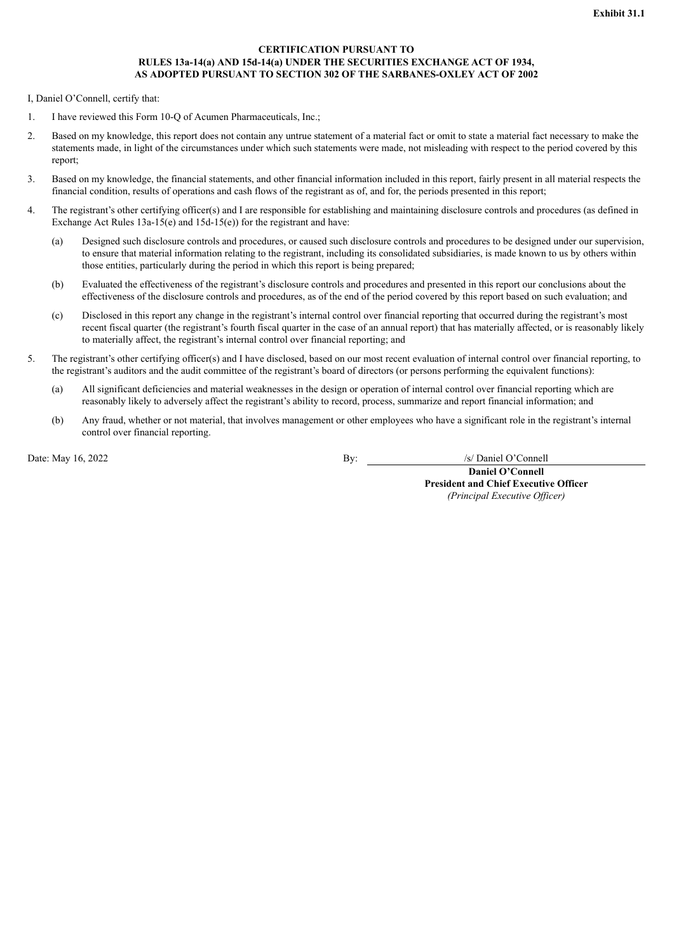#### **CERTIFICATION PURSUANT TO RULES 13a-14(a) AND 15d-14(a) UNDER THE SECURITIES EXCHANGE ACT OF 1934, AS ADOPTED PURSUANT TO SECTION 302 OF THE SARBANES-OXLEY ACT OF 2002**

<span id="page-28-0"></span>I, Daniel O'Connell, certify that:

- 1. I have reviewed this Form 10-Q of Acumen Pharmaceuticals, Inc.;
- 2. Based on my knowledge, this report does not contain any untrue statement of a material fact or omit to state a material fact necessary to make the statements made, in light of the circumstances under which such statements were made, not misleading with respect to the period covered by this report;
- 3. Based on my knowledge, the financial statements, and other financial information included in this report, fairly present in all material respects the financial condition, results of operations and cash flows of the registrant as of, and for, the periods presented in this report;
- 4. The registrant's other certifying officer(s) and I are responsible for establishing and maintaining disclosure controls and procedures (as defined in Exchange Act Rules  $13a-15(e)$  and  $15d-15(e)$  for the registrant and have:
	- (a) Designed such disclosure controls and procedures, or caused such disclosure controls and procedures to be designed under our supervision, to ensure that material information relating to the registrant, including its consolidated subsidiaries, is made known to us by others within those entities, particularly during the period in which this report is being prepared;
	- (b) Evaluated the effectiveness of the registrant's disclosure controls and procedures and presented in this report our conclusions about the effectiveness of the disclosure controls and procedures, as of the end of the period covered by this report based on such evaluation; and
	- (c) Disclosed in this report any change in the registrant's internal control over financial reporting that occurred during the registrant's most recent fiscal quarter (the registrant's fourth fiscal quarter in the case of an annual report) that has materially affected, or is reasonably likely to materially affect, the registrant's internal control over financial reporting; and
- 5. The registrant's other certifying officer(s) and I have disclosed, based on our most recent evaluation of internal control over financial reporting, to the registrant's auditors and the audit committee of the registrant's board of directors (or persons performing the equivalent functions):
	- (a) All significant deficiencies and material weaknesses in the design or operation of internal control over financial reporting which are reasonably likely to adversely affect the registrant's ability to record, process, summarize and report financial information; and
	- (b) Any fraud, whether or not material, that involves management or other employees who have a significant role in the registrant's internal control over financial reporting.

Date: May 16, 2022 By: /s/ Daniel O'Connell

**Daniel O'Connell President and Chief Executive Officer** *(Principal Executive Of icer)*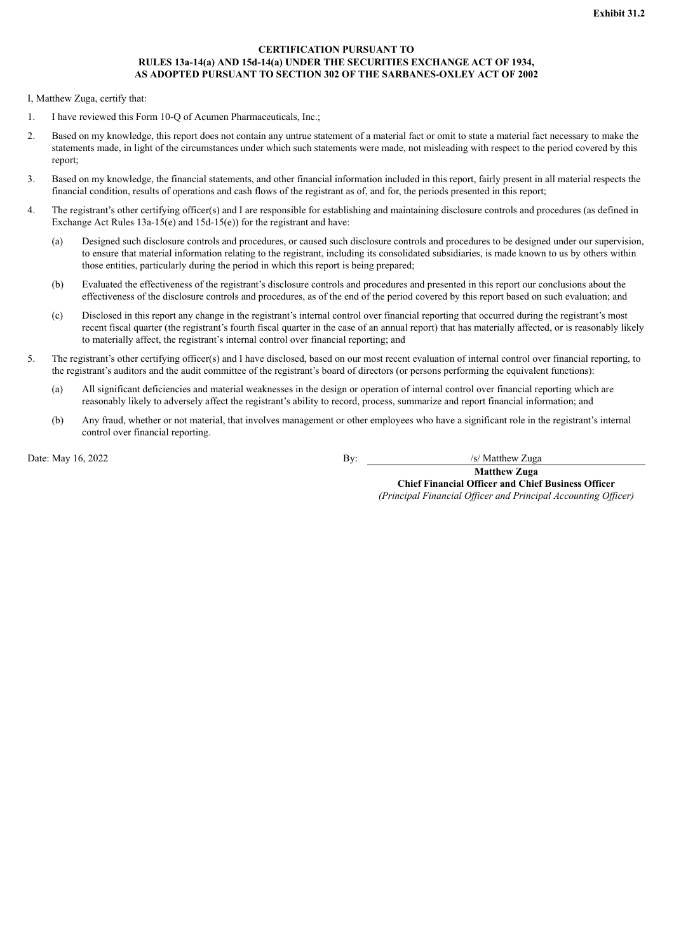#### **CERTIFICATION PURSUANT TO RULES 13a-14(a) AND 15d-14(a) UNDER THE SECURITIES EXCHANGE ACT OF 1934, AS ADOPTED PURSUANT TO SECTION 302 OF THE SARBANES-OXLEY ACT OF 2002**

<span id="page-29-0"></span>I, Matthew Zuga, certify that:

- 1. I have reviewed this Form 10-Q of Acumen Pharmaceuticals, Inc.;
- 2. Based on my knowledge, this report does not contain any untrue statement of a material fact or omit to state a material fact necessary to make the statements made, in light of the circumstances under which such statements were made, not misleading with respect to the period covered by this report;
- 3. Based on my knowledge, the financial statements, and other financial information included in this report, fairly present in all material respects the financial condition, results of operations and cash flows of the registrant as of, and for, the periods presented in this report;
- 4. The registrant's other certifying officer(s) and I are responsible for establishing and maintaining disclosure controls and procedures (as defined in Exchange Act Rules  $13a-15(e)$  and  $15d-15(e)$  for the registrant and have:
	- (a) Designed such disclosure controls and procedures, or caused such disclosure controls and procedures to be designed under our supervision, to ensure that material information relating to the registrant, including its consolidated subsidiaries, is made known to us by others within those entities, particularly during the period in which this report is being prepared;
	- (b) Evaluated the effectiveness of the registrant's disclosure controls and procedures and presented in this report our conclusions about the effectiveness of the disclosure controls and procedures, as of the end of the period covered by this report based on such evaluation; and
	- (c) Disclosed in this report any change in the registrant's internal control over financial reporting that occurred during the registrant's most recent fiscal quarter (the registrant's fourth fiscal quarter in the case of an annual report) that has materially affected, or is reasonably likely to materially affect, the registrant's internal control over financial reporting; and
- 5. The registrant's other certifying officer(s) and I have disclosed, based on our most recent evaluation of internal control over financial reporting, to the registrant's auditors and the audit committee of the registrant's board of directors (or persons performing the equivalent functions):
	- (a) All significant deficiencies and material weaknesses in the design or operation of internal control over financial reporting which are reasonably likely to adversely affect the registrant's ability to record, process, summarize and report financial information; and
	- (b) Any fraud, whether or not material, that involves management or other employees who have a significant role in the registrant's internal control over financial reporting.

Date: May 16, 2022 By: /s/ Matthew Zuga

**Matthew Zuga Chief Financial Officer and Chief Business Officer** *(Principal Financial Of icer and Principal Accounting Of icer)*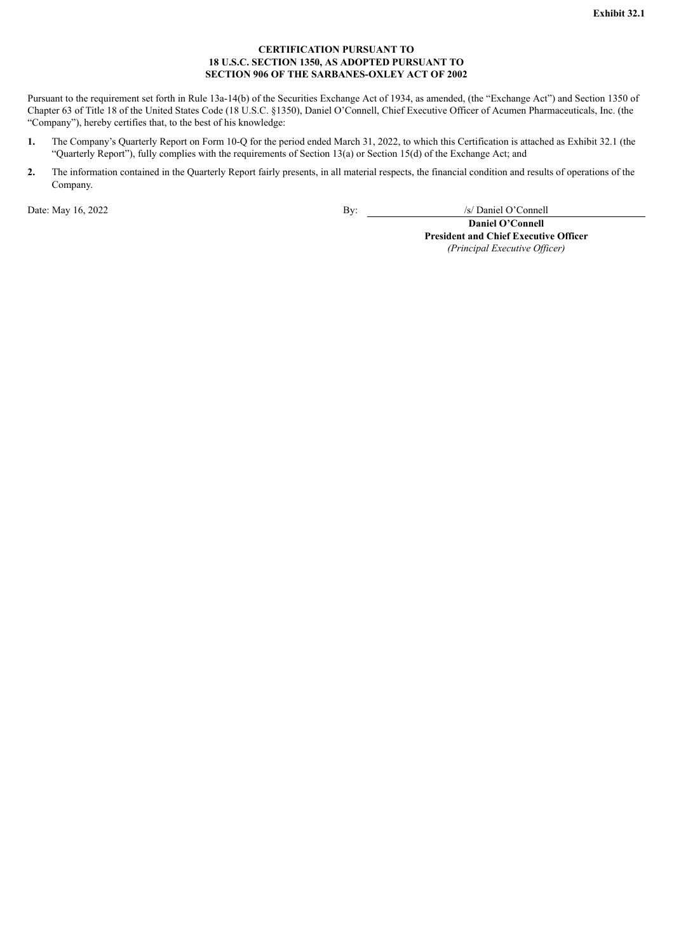#### **CERTIFICATION PURSUANT TO 18 U.S.C. SECTION 1350, AS ADOPTED PURSUANT TO SECTION 906 OF THE SARBANES-OXLEY ACT OF 2002**

<span id="page-30-0"></span>Pursuant to the requirement set forth in Rule 13a-14(b) of the Securities Exchange Act of 1934, as amended, (the "Exchange Act") and Section 1350 of Chapter 63 of Title 18 of the United States Code (18 U.S.C. §1350), Daniel O'Connell, Chief Executive Officer of Acumen Pharmaceuticals, Inc. (the "Company"), hereby certifies that, to the best of his knowledge:

- **1.** The Company's Quarterly Report on Form 10-Q for the period ended March 31, 2022, to which this Certification is attached as Exhibit 32.1 (the "Quarterly Report"), fully complies with the requirements of Section 13(a) or Section 15(d) of the Exchange Act; and
- **2.** The information contained in the Quarterly Report fairly presents, in all material respects, the financial condition and results of operations of the Company.

Date: May 16, 2022 By: /s/ Daniel O'Connell

**Daniel O'Connell President and Chief Executive Officer**

*(Principal Executive Of icer)*